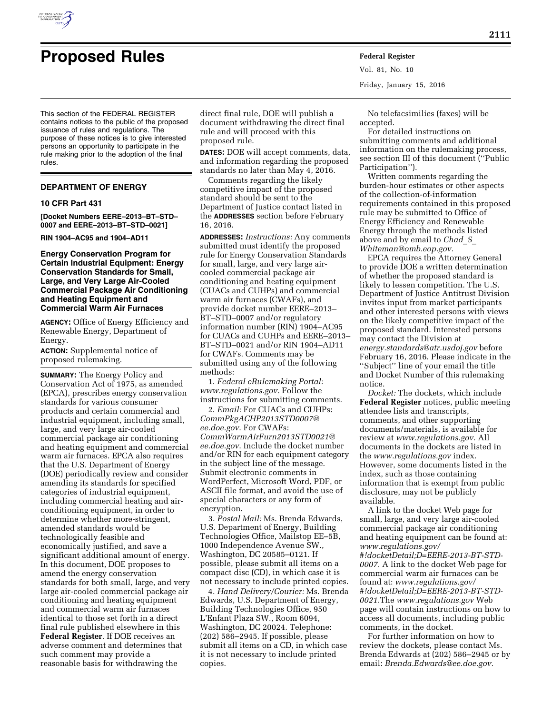

# **Proposed Rules Federal Register**

**2111** 

Vol. 81, No. 10 Friday, January 15, 2016

This section of the FEDERAL REGISTER contains notices to the public of the proposed issuance of rules and regulations. The purpose of these notices is to give interested persons an opportunity to participate in the rule making prior to the adoption of the final rules.

# **DEPARTMENT OF ENERGY**

#### **10 CFR Part 431**

**[Docket Numbers EERE–2013–BT–STD– 0007 and EERE–2013–BT–STD–0021]** 

**RIN 1904–AC95 and 1904–AD11** 

#### **Energy Conservation Program for Certain Industrial Equipment: Energy Conservation Standards for Small, Large, and Very Large Air-Cooled Commercial Package Air Conditioning and Heating Equipment and Commercial Warm Air Furnaces**

**AGENCY:** Office of Energy Efficiency and Renewable Energy, Department of Energy.

**ACTION:** Supplemental notice of proposed rulemaking.

**SUMMARY:** The Energy Policy and Conservation Act of 1975, as amended (EPCA), prescribes energy conservation standards for various consumer products and certain commercial and industrial equipment, including small, large, and very large air-cooled commercial package air conditioning and heating equipment and commercial warm air furnaces. EPCA also requires that the U.S. Department of Energy (DOE) periodically review and consider amending its standards for specified categories of industrial equipment, including commercial heating and airconditioning equipment, in order to determine whether more-stringent, amended standards would be technologically feasible and economically justified, and save a significant additional amount of energy. In this document, DOE proposes to amend the energy conservation standards for both small, large, and very large air-cooled commercial package air conditioning and heating equipment and commercial warm air furnaces identical to those set forth in a direct final rule published elsewhere in this **Federal Register**. If DOE receives an adverse comment and determines that such comment may provide a reasonable basis for withdrawing the

direct final rule, DOE will publish a document withdrawing the direct final rule and will proceed with this proposed rule.

**DATES:** DOE will accept comments, data, and information regarding the proposed standards no later than May 4, 2016.

Comments regarding the likely competitive impact of the proposed standard should be sent to the Department of Justice contact listed in the **ADDRESSES** section before February 16, 2016.

**ADDRESSES:** *Instructions:* Any comments submitted must identify the proposed rule for Energy Conservation Standards for small, large, and very large aircooled commercial package air conditioning and heating equipment (CUACs and CUHPs) and commercial warm air furnaces (CWAFs), and provide docket number EERE–2013– BT–STD–0007 and/or regulatory information number (RIN) 1904–AC95 for CUACs and CUHPs and EERE–2013– BT–STD–0021 and/or RIN 1904–AD11 for CWAFs. Comments may be submitted using any of the following methods:

1. *Federal eRulemaking Portal: [www.regulations.gov.](http://www.regulations.gov)* Follow the instructions for submitting comments.

2. *Email:* For CUACs and CUHPs: *[CommPkgACHP2013STD0007@](mailto:CommPkgACHP2013STD0007@ee.doe.gov) [ee.doe.gov](mailto:CommPkgACHP2013STD0007@ee.doe.gov)*. For CWAFs: *[CommWarmAirFurn2013STD0021@](mailto:CommWarmAirFurn2013STD0021@ee.doe.gov) [ee.doe.gov](mailto:CommWarmAirFurn2013STD0021@ee.doe.gov)*. Include the docket number and/or RIN for each equipment category in the subject line of the message. Submit electronic comments in WordPerfect, Microsoft Word, PDF, or ASCII file format, and avoid the use of special characters or any form of encryption.

3. *Postal Mail:* Ms. Brenda Edwards, U.S. Department of Energy, Building Technologies Office, Mailstop EE–5B, 1000 Independence Avenue SW., Washington, DC 20585–0121. If possible, please submit all items on a compact disc (CD), in which case it is not necessary to include printed copies.

4. *Hand Delivery/Courier:* Ms. Brenda Edwards, U.S. Department of Energy, Building Technologies Office, 950 L'Enfant Plaza SW., Room 6094, Washington, DC 20024. Telephone: (202) 586–2945. If possible, please submit all items on a CD, in which case it is not necessary to include printed copies.

No telefacsimilies (faxes) will be accepted.

For detailed instructions on submitting comments and additional information on the rulemaking process, see section III of this document (''Public Participation'').

Written comments regarding the burden-hour estimates or other aspects of the collection-of-information requirements contained in this proposed rule may be submitted to Office of Energy Efficiency and Renewable Energy through the methods listed above and by email to *[Chad](mailto:Chad_S_Whiteman@omb.eop.gov)*\_*S*\_ *[Whiteman@omb.eop.gov.](mailto:Chad_S_Whiteman@omb.eop.gov)* 

EPCA requires the Attorney General to provide DOE a written determination of whether the proposed standard is likely to lessen competition. The U.S. Department of Justice Antitrust Division invites input from market participants and other interested persons with views on the likely competitive impact of the proposed standard. Interested persons may contact the Division at *[energy.standards@atr.usdoj.gov](mailto:energy.standards@atr.usdoj.gov)* before February 16, 2016. Please indicate in the ''Subject'' line of your email the title and Docket Number of this rulemaking notice.

*Docket:* The dockets, which include **Federal Register** notices, public meeting attendee lists and transcripts, comments, and other supporting documents/materials, is available for review at *[www.regulations.gov.](http://www.regulations.gov)* All documents in the dockets are listed in the *[www.regulations.gov](http://www.regulations.gov)* index. However, some documents listed in the index, such as those containing information that is exempt from public disclosure, may not be publicly available.

A link to the docket Web page for small, large, and very large air-cooled commercial package air conditioning and heating equipment can be found at: *[www.regulations.gov/](http://www.regulations.gov/#!docketDetail;D=EERE-2013-BT-STD-0007) [#!docketDetail;D=EERE-2013-BT-STD-](http://www.regulations.gov/#!docketDetail;D=EERE-2013-BT-STD-0007)[0007.](http://www.regulations.gov/#!docketDetail;D=EERE-2013-BT-STD-0007)* A link to the docket Web page for commercial warm air furnaces can be found at: *[www.regulations.gov/](http://www.regulations.gov/#!docketDetail;D=EERE-2013-BT-STD-0021) [#!docketDetail;D=EERE-2013-BT-STD-](http://www.regulations.gov/#!docketDetail;D=EERE-2013-BT-STD-0021)[0021.](http://www.regulations.gov/#!docketDetail;D=EERE-2013-BT-STD-0021)*The *[www.regulations.gov](http://www.regulations.gov)* Web page will contain instructions on how to access all documents, including public comments, in the docket.

For further information on how to review the dockets, please contact Ms. Brenda Edwards at (202) 586–2945 or by email: *[Brenda.Edwards@ee.doe.gov.](mailto:Brenda.Edwards@ee.doe.gov)*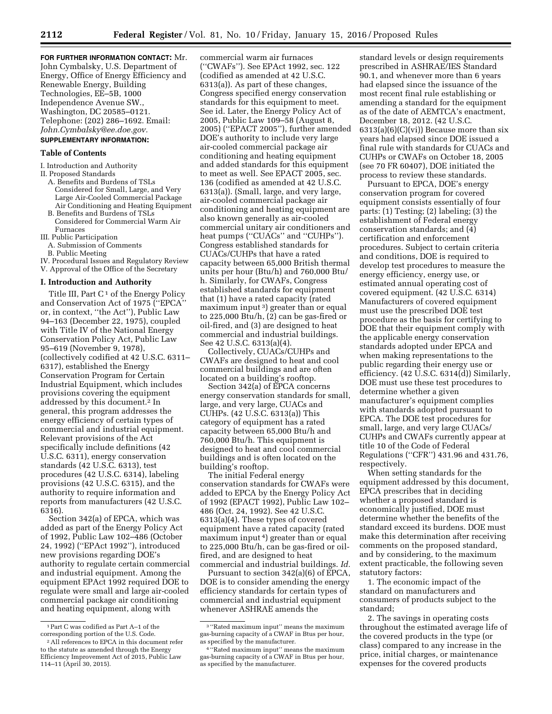**FOR FURTHER INFORMATION CONTACT:** Mr. John Cymbalsky, U.S. Department of Energy, Office of Energy Efficiency and Renewable Energy, Building Technologies, EE–5B, 1000 Independence Avenue SW., Washington, DC 20585–0121. Telephone: (202) 286–1692. Email: *[John.Cymbalsky@ee.doe.gov.](mailto:John.Cymbalsky@ee.doe.gov)* 

# **SUPPLEMENTARY INFORMATION:**

#### **Table of Contents**

I. Introduction and Authority

- II. Proposed Standards
	- A. Benefits and Burdens of TSLs Considered for Small, Large, and Very Large Air-Cooled Commercial Package Air Conditioning and Heating Equipment
	- B. Benefits and Burdens of TSLs Considered for Commercial Warm Air Furnaces
- III. Public Participation
- A. Submission of Comments
- B. Public Meeting
- IV. Procedural Issues and Regulatory Review V. Approval of the Office of the Secretary

#### **I. Introduction and Authority**

Title III, Part  $C<sup>1</sup>$  of the Energy Policy and Conservation Act of 1975 (''EPCA'' or, in context, ''the Act''), Public Law 94–163 (December 22, 1975), coupled with Title IV of the National Energy Conservation Policy Act, Public Law 95–619 (November 9, 1978), (collectively codified at 42 U.S.C. 6311– 6317), established the Energy Conservation Program for Certain Industrial Equipment, which includes provisions covering the equipment addressed by this document.2 In general, this program addresses the energy efficiency of certain types of commercial and industrial equipment. Relevant provisions of the Act specifically include definitions (42 U.S.C. 6311), energy conservation standards (42 U.S.C. 6313), test procedures (42 U.S.C. 6314), labeling provisions (42 U.S.C. 6315), and the authority to require information and reports from manufacturers (42 U.S.C. 6316).

Section 342(a) of EPCA, which was added as part of the Energy Policy Act of 1992, Public Law 102–486 (October 24, 1992) (''EPAct 1992''), introduced new provisions regarding DOE's authority to regulate certain commercial and industrial equipment. Among the equipment EPAct 1992 required DOE to regulate were small and large air-cooled commercial package air conditioning and heating equipment, along with

commercial warm air furnaces (''CWAFs''). See EPAct 1992, sec. 122 (codified as amended at 42 U.S.C. 6313(a)). As part of these changes, Congress specified energy conservation standards for this equipment to meet. See id. Later, the Energy Policy Act of 2005, Public Law 109–58 (August 8, 2005) (''EPACT 2005''), further amended DOE's authority to include very large air-cooled commercial package air conditioning and heating equipment and added standards for this equipment to meet as well. See EPACT 2005, sec. 136 (codified as amended at 42 U.S.C. 6313(a)). (Small, large, and very large, air-cooled commercial package air conditioning and heating equipment are also known generally as air-cooled commercial unitary air conditioners and heat pumps ("CUACs" and "CUHPs"). Congress established standards for CUACs/CUHPs that have a rated capacity between 65,000 British thermal units per hour (Btu/h) and 760,000 Btu/ h. Similarly, for CWAFs, Congress established standards for equipment that (1) have a rated capacity (rated maximum input 3) greater than or equal to 225,000 Btu/h, (2) can be gas-fired or oil-fired, and (3) are designed to heat commercial and industrial buildings. See 42 U.S.C. 6313(a)(4).

Collectively, CUACs/CUHPs and CWAFs are designed to heat and cool commercial buildings and are often located on a building's rooftop.

Section 342(a) of EPCA concerns energy conservation standards for small, large, and very large, CUACs and CUHPs. (42 U.S.C. 6313(a)) This category of equipment has a rated capacity between 65,000 Btu/h and 760,000 Btu/h. This equipment is designed to heat and cool commercial buildings and is often located on the building's rooftop.

The initial Federal energy conservation standards for CWAFs were added to EPCA by the Energy Policy Act of 1992 (EPACT 1992), Public Law 102– 486 (Oct. 24, 1992). See 42 U.S.C. 6313(a)(4). These types of covered equipment have a rated capacity (rated maximum input 4) greater than or equal to 225,000 Btu/h, can be gas-fired or oilfired, and are designed to heat commercial and industrial buildings. *Id.* 

Pursuant to section 342(a)(6) of EPCA, DOE is to consider amending the energy efficiency standards for certain types of commercial and industrial equipment whenever ASHRAE amends the

standard levels or design requirements prescribed in ASHRAE/IES Standard 90.1, and whenever more than 6 years had elapsed since the issuance of the most recent final rule establishing or amending a standard for the equipment as of the date of AEMTCA's enactment, December 18, 2012. (42 U.S.C.  $6313(a)(6)(C)(vi)$  Because more than six years had elapsed since DOE issued a final rule with standards for CUACs and CUHPs or CWAFs on October 18, 2005 (see 70 FR 60407), DOE initiated the process to review these standards.

Pursuant to EPCA, DOE's energy conservation program for covered equipment consists essentially of four parts: (1) Testing; (2) labeling; (3) the establishment of Federal energy conservation standards; and (4) certification and enforcement procedures. Subject to certain criteria and conditions, DOE is required to develop test procedures to measure the energy efficiency, energy use, or estimated annual operating cost of covered equipment. (42 U.S.C. 6314) Manufacturers of covered equipment must use the prescribed DOE test procedure as the basis for certifying to DOE that their equipment comply with the applicable energy conservation standards adopted under EPCA and when making representations to the public regarding their energy use or efficiency. (42 U.S.C. 6314(d)) Similarly, DOE must use these test procedures to determine whether a given manufacturer's equipment complies with standards adopted pursuant to EPCA. The DOE test procedures for small, large, and very large CUACs/ CUHPs and CWAFs currently appear at title 10 of the Code of Federal Regulations (''CFR'') 431.96 and 431.76, respectively.

When setting standards for the equipment addressed by this document, EPCA prescribes that in deciding whether a proposed standard is economically justified, DOE must determine whether the benefits of the standard exceed its burdens. DOE must make this determination after receiving comments on the proposed standard, and by considering, to the maximum extent practicable, the following seven statutory factors:

1. The economic impact of the standard on manufacturers and consumers of products subject to the standard;

2. The savings in operating costs throughout the estimated average life of the covered products in the type (or class) compared to any increase in the price, initial charges, or maintenance expenses for the covered products

<sup>1</sup>Part C was codified as Part A–1 of the corresponding portion of the U.S. Code.

<sup>2</sup>All references to EPCA in this document refer to the statute as amended through the Energy Efficiency Improvement Act of 2015, Public Law 114–11 (April 30, 2015).

 $^{\rm 3\,^{\rm o}}$  Rated maximum input'' means the maximum gas-burning capacity of a CWAF in Btus per hour, as specified by the manufacturer.

<sup>4</sup> ''Rated maximum input'' means the maximum gas-burning capacity of a CWAF in Btus per hour, as specified by the manufacturer.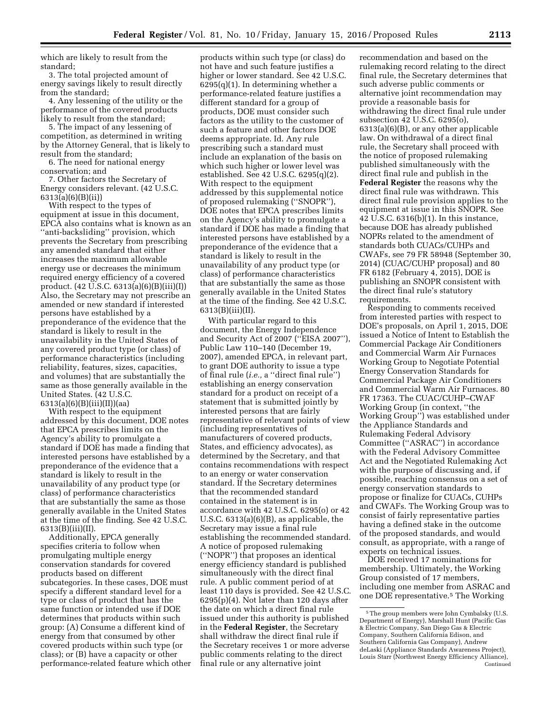which are likely to result from the standard;

3. The total projected amount of energy savings likely to result directly from the standard;

4. Any lessening of the utility or the performance of the covered products likely to result from the standard;

5. The impact of any lessening of competition, as determined in writing by the Attorney General, that is likely to result from the standard;

6. The need for national energy conservation; and

7. Other factors the Secretary of Energy considers relevant. (42 U.S.C. 6313(a)(6)(B)(ii))

With respect to the types of equipment at issue in this document, EPCA also contains what is known as an ''anti-backsliding'' provision, which prevents the Secretary from prescribing any amended standard that either increases the maximum allowable energy use or decreases the minimum required energy efficiency of a covered product. (42 U.S.C. 6313(a)(6)(B)(iii)(I)) Also, the Secretary may not prescribe an amended or new standard if interested persons have established by a preponderance of the evidence that the standard is likely to result in the unavailability in the United States of any covered product type (or class) of performance characteristics (including reliability, features, sizes, capacities, and volumes) that are substantially the same as those generally available in the United States. (42 U.S.C. 6313(a)(6)(B)(iii)(II))(aa)

With respect to the equipment addressed by this document, DOE notes that EPCA prescribes limits on the Agency's ability to promulgate a standard if DOE has made a finding that interested persons have established by a preponderance of the evidence that a standard is likely to result in the unavailability of any product type (or class) of performance characteristics that are substantially the same as those generally available in the United States at the time of the finding. See 42 U.S.C. 6313(B)(iii)(II).

Additionally, EPCA generally specifies criteria to follow when promulgating multiple energy conservation standards for covered products based on different subcategories. In these cases, DOE must specify a different standard level for a type or class of product that has the same function or intended use if DOE determines that products within such group: (A) Consume a different kind of energy from that consumed by other covered products within such type (or class); or (B) have a capacity or other performance-related feature which other

products within such type (or class) do not have and such feature justifies a higher or lower standard. See 42 U.S.C. 6295(q)(1). In determining whether a performance-related feature justifies a different standard for a group of products, DOE must consider such factors as the utility to the customer of such a feature and other factors DOE deems appropriate. Id. Any rule prescribing such a standard must include an explanation of the basis on which such higher or lower level was established. See 42 U.S.C. 6295(q)(2). With respect to the equipment addressed by this supplemental notice of proposed rulemaking (''SNOPR''), DOE notes that EPCA prescribes limits on the Agency's ability to promulgate a standard if DOE has made a finding that interested persons have established by a preponderance of the evidence that a standard is likely to result in the unavailability of any product type (or class) of performance characteristics that are substantially the same as those generally available in the United States at the time of the finding. See 42 U.S.C. 6313(B)(iii)(II).

With particular regard to this document, the Energy Independence and Security Act of 2007 (''EISA 2007''), Public Law 110–140 (December 19, 2007), amended EPCA, in relevant part, to grant DOE authority to issue a type of final rule (*i.e.,* a ''direct final rule'') establishing an energy conservation standard for a product on receipt of a statement that is submitted jointly by interested persons that are fairly representative of relevant points of view (including representatives of manufacturers of covered products, States, and efficiency advocates), as determined by the Secretary, and that contains recommendations with respect to an energy or water conservation standard. If the Secretary determines that the recommended standard contained in the statement is in accordance with 42 U.S.C. 6295(o) or 42 U.S.C. 6313(a)(6)(B), as applicable, the Secretary may issue a final rule establishing the recommended standard. A notice of proposed rulemaking (''NOPR'') that proposes an identical energy efficiency standard is published simultaneously with the direct final rule. A public comment period of at least 110 days is provided. See 42 U.S.C. 6295(p)(4). Not later than 120 days after the date on which a direct final rule issued under this authority is published in the **Federal Register**, the Secretary shall withdraw the direct final rule if the Secretary receives 1 or more adverse public comments relating to the direct final rule or any alternative joint

recommendation and based on the rulemaking record relating to the direct final rule, the Secretary determines that such adverse public comments or alternative joint recommendation may provide a reasonable basis for withdrawing the direct final rule under subsection 42 U.S.C. 6295(o), 6313(a)(6)(B), or any other applicable law. On withdrawal of a direct final rule, the Secretary shall proceed with the notice of proposed rulemaking published simultaneously with the direct final rule and publish in the **Federal Register** the reasons why the direct final rule was withdrawn. This direct final rule provision applies to the equipment at issue in this SNOPR. See 42 U.S.C. 6316(b)(1). In this instance, because DOE has already published NOPRs related to the amendment of standards both CUACs/CUHPs and CWAFs, see 79 FR 58948 (September 30, 2014) (CUAC/CUHP proposal) and 80 FR 6182 (February 4, 2015), DOE is publishing an SNOPR consistent with the direct final rule's statutory requirements.

Responding to comments received from interested parties with respect to DOE's proposals, on April 1, 2015, DOE issued a Notice of Intent to Establish the Commercial Package Air Conditioners and Commercial Warm Air Furnaces Working Group to Negotiate Potential Energy Conservation Standards for Commercial Package Air Conditioners and Commercial Warm Air Furnaces. 80 FR 17363. The CUAC/CUHP–CWAF Working Group (in context, ''the Working Group'') was established under the Appliance Standards and Rulemaking Federal Advisory Committee (''ASRAC'') in accordance with the Federal Advisory Committee Act and the Negotiated Rulemaking Act with the purpose of discussing and, if possible, reaching consensus on a set of energy conservation standards to propose or finalize for CUACs, CUHPs and CWAFs. The Working Group was to consist of fairly representative parties having a defined stake in the outcome of the proposed standards, and would consult, as appropriate, with a range of experts on technical issues.

DOE received 17 nominations for membership. Ultimately, the Working Group consisted of 17 members, including one member from ASRAC and one DOE representative.5 The Working

<sup>5</sup>The group members were John Cymbalsky (U.S. Department of Energy), Marshall Hunt (Pacific Gas & Electric Company, San Diego Gas & Electric Company, Southern California Edison, and Southern California Gas Company), Andrew deLaski (Appliance Standards Awareness Project), Louis Starr (Northwest Energy Efficiency Alliance), Continued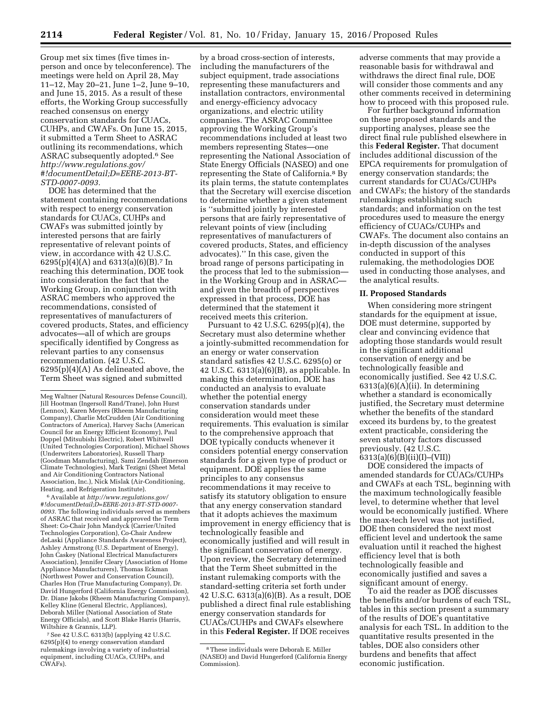Group met six times (five times inperson and once by teleconference). The meetings were held on April 28, May 11–12, May 20–21, June 1–2, June 9–10, and June 15, 2015. As a result of these efforts, the Working Group successfully reached consensus on energy conservation standards for CUACs, CUHPs, and CWAFs. On June 15, 2015, it submitted a Term Sheet to ASRAC outlining its recommendations, which ASRAC subsequently adopted.6 See *[http://www.regulations.gov/](http://www.regulations.gov/#!documentDetail;D=EERE-2013-BT-STD-0007-0093) [#!documentDetail;D=EERE-2013-BT-](http://www.regulations.gov/#!documentDetail;D=EERE-2013-BT-STD-0007-0093)[STD-0007-0093.](http://www.regulations.gov/#!documentDetail;D=EERE-2013-BT-STD-0007-0093)* 

DOE has determined that the statement containing recommendations with respect to energy conservation standards for CUACs, CUHPs and CWAFs was submitted jointly by interested persons that are fairly representative of relevant points of view, in accordance with 42 U.S.C. 6295(p)(4)(A) and 6313(a)(6)(B).7 In reaching this determination, DOE took into consideration the fact that the Working Group, in conjunction with ASRAC members who approved the recommendations, consisted of representatives of manufacturers of covered products, States, and efficiency advocates—all of which are groups specifically identified by Congress as relevant parties to any consensus recommendation. (42 U.S.C.  $6295(p)(4)(A)$  As delineated above, the Term Sheet was signed and submitted

6Available at *[http://www.regulations.gov/](http://www.regulations.gov/#!documentDetail;D=EERE-2013-BT-STD-0007-0093) [#!documentDetail;D=EERE-2013-BT-STD-0007-](http://www.regulations.gov/#!documentDetail;D=EERE-2013-BT-STD-0007-0093) [0093.](http://www.regulations.gov/#!documentDetail;D=EERE-2013-BT-STD-0007-0093)* The following individuals served as members of ASRAC that received and approved the Term Sheet: Co-Chair John Mandyck (Carrier/United Technologies Corporation), Co-Chair Andrew deLaski (Appliance Standards Awareness Project), Ashley Armstrong (U.S. Department of Energy), John Caskey (National Electrical Manufacturers Association), Jennifer Cleary (Association of Home Appliance Manufacturers), Thomas Eckman (Northwest Power and Conservation Council), Charles Hon (True Manufacturing Company), Dr. David Hungerford (California Energy Commission), Dr. Diane Jakobs (Rheem Manufacturing Company), Kelley Kline (General Electric, Appliances), Deborah Miller (National Association of State Energy Officials), and Scott Blake Harris (Harris, Wiltshire & Grannis, LLP).

7See 42 U.S.C. 6313(b) (applying 42 U.S.C. 6295(p)(4) to energy conservation standard rulemakings involving a variety of industrial equipment, including CUACs, CUHPs, and CWAFs).

by a broad cross-section of interests, including the manufacturers of the subject equipment, trade associations representing these manufacturers and installation contractors, environmental and energy-efficiency advocacy organizations, and electric utility companies. The ASRAC Committee approving the Working Group's recommendations included at least two members representing States—one representing the National Association of State Energy Officials (NASEO) and one representing the State of California.8 By its plain terms, the statute contemplates that the Secretary will exercise discetion to determine whether a given statement is ''submitted jointly by interested persons that are fairly representative of relevant points of view (including representatives of manufacturers of covered products, States, and efficiency advocates).'' In this case, given the broad range of persons participating in the process that led to the submission in the Working Group and in ASRAC and given the breadth of perspectives expressed in that process, DOE has determined that the statement it received meets this criterion.

Pursuant to 42 U.S.C. 6295(p)(4), the Secretary must also determine whether a jointly-submitted recommendation for an energy or water conservation standard satisfies 42 U.S.C. 6295(o) or 42 U.S.C. 6313(a)(6)(B), as applicable. In making this determination, DOE has conducted an analysis to evaluate whether the potential energy conservation standards under consideration would meet these requirements. This evaluation is similar to the comprehensive approach that DOE typically conducts whenever it considers potential energy conservation standards for a given type of product or equipment. DOE applies the same principles to any consensus recommendations it may receive to satisfy its statutory obligation to ensure that any energy conservation standard that it adopts achieves the maximum improvement in energy efficiency that is technologically feasible and economically justified and will result in the significant conservation of energy. Upon review, the Secretary determined that the Term Sheet submitted in the instant rulemaking comports with the standard-setting criteria set forth under 42 U.S.C. 6313(a)(6)(B). As a result, DOE published a direct final rule establishing energy conservation standards for CUACs/CUHPs and CWAFs elsewhere in this **Federal Register.** If DOE receives

adverse comments that may provide a reasonable basis for withdrawal and withdraws the direct final rule, DOE will consider those comments and any other comments received in determining how to proceed with this proposed rule.

For further background information on these proposed standards and the supporting analyses, please see the direct final rule published elsewhere in this **Federal Register.** That document includes additional discussion of the EPCA requirements for promulgation of energy conservation standards; the current standards for CUACs/CUHPs and CWAFs; the history of the standards rulemakings establishing such standards; and information on the test procedures used to measure the energy efficiency of CUACs/CUHPs and CWAFs. The document also contains an in-depth discussion of the analyses conducted in support of this rulemaking, the methodologies DOE used in conducting those analyses, and the analytical results.

#### **II. Proposed Standards**

When considering more stringent standards for the equipment at issue, DOE must determine, supported by clear and convincing evidence that adopting those standards would result in the significant additional conservation of energy and be technologically feasible and economically justified. See 42 U.S.C.  $6313(a)(6)(A)(ii)$ . In determining whether a standard is economically justified, the Secretary must determine whether the benefits of the standard exceed its burdens by, to the greatest extent practicable, considering the seven statutory factors discussed previously. (42 U.S.C. 6313(a)(6)(B)(ii)(I)–(VII))

DOE considered the impacts of amended standards for CUACs/CUHPs and CWAFs at each TSL, beginning with the maximum technologically feasible level, to determine whether that level would be economically justified. Where the max-tech level was not justified, DOE then considered the next most efficient level and undertook the same evaluation until it reached the highest efficiency level that is both technologically feasible and economically justified and saves a significant amount of energy.

To aid the reader as DOE discusses the benefits and/or burdens of each TSL, tables in this section present a summary of the results of DOE's quantitative analysis for each TSL. In addition to the quantitative results presented in the tables, DOE also considers other burdens and benefits that affect economic justification.

Meg Waltner (Natural Resources Defense Council), Jill Hootman (Ingersoll Rand/Trane), John Hurst (Lennox), Karen Meyers (Rheem Manufacturing Company), Charlie McCrudden (Air Conditioning Contractors of America), Harvey Sachs (American Council for an Energy Efficient Economy), Paul Doppel (Mitsubishi Electric), Robert Whitwell (United Technologies Corporation), Michael Shows (Underwriters Laboratories), Russell Tharp (Goodman Manufacturing), Sami Zendah (Emerson Climate Technologies), Mark Tezigni (Sheet Metal and Air Conditioning Contractors National Association, Inc.), Nick Mislak (Air-Conditioning, Heating, and Refrigeration Institute).

<sup>8</sup>These individuals were Deborah E. Miller (NASEO) and David Hungerford (California Energy Commission).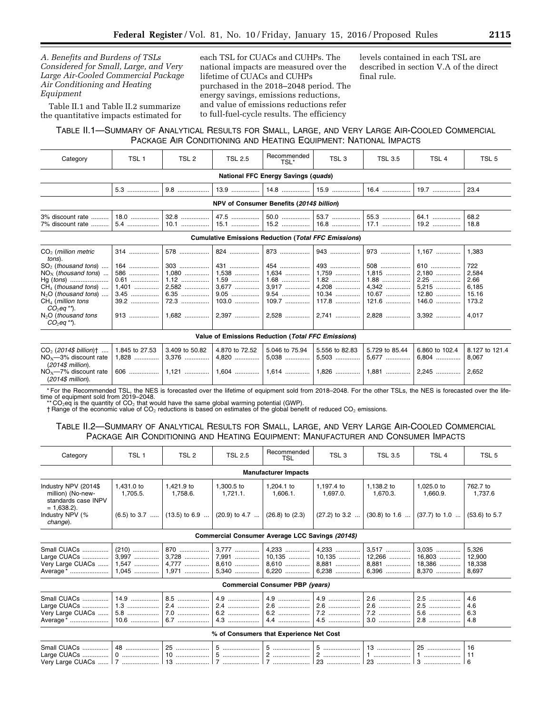*A. Benefits and Burdens of TSLs Considered for Small, Large, and Very Large Air-Cooled Commercial Package Air Conditioning and Heating Equipment* 

Table II.1 and Table II.2 summarize the quantitative impacts estimated for

each TSL for CUACs and CUHPs. The national impacts are measured over the lifetime of CUACs and CUHPs purchased in the 2018–2048 period. The energy savings, emissions reductions, and value of emissions reductions refer to full-fuel-cycle results. The efficiency

levels contained in each TSL are described in section V.A of the direct final rule.

# TABLE II.1—SUMMARY OF ANALYTICAL RESULTS FOR SMALL, LARGE, AND VERY LARGE AIR-COOLED COMMERCIAL PACKAGE AIR CONDITIONING AND HEATING EQUIPMENT: NATIONAL IMPACTS

| Category                                                                                                                                                                                                                              | TSL <sub>1</sub>                                                | TSL 2                                                          | <b>TSL 2.5</b>                                                              | Recommended<br>TSL*                                | TSL <sub>3</sub>                                      | <b>TSL 3.5</b>                                                 | TSL <sub>4</sub>                                                 | TSL 5                                                             |  |
|---------------------------------------------------------------------------------------------------------------------------------------------------------------------------------------------------------------------------------------|-----------------------------------------------------------------|----------------------------------------------------------------|-----------------------------------------------------------------------------|----------------------------------------------------|-------------------------------------------------------|----------------------------------------------------------------|------------------------------------------------------------------|-------------------------------------------------------------------|--|
| National FFC Energy Savings (quads)                                                                                                                                                                                                   |                                                                 |                                                                |                                                                             |                                                    |                                                       |                                                                |                                                                  |                                                                   |  |
|                                                                                                                                                                                                                                       | 5.3                                                             | 9.8                                                            | $13.9$                                                                      | $14.8$                                             | $15.9$                                                | $16.4$                                                         | $19.7$                                                           | 23.4                                                              |  |
|                                                                                                                                                                                                                                       |                                                                 |                                                                | NPV of Consumer Benefits (2014\$ billion)                                   |                                                    |                                                       |                                                                |                                                                  |                                                                   |  |
| 3% discount rate<br>7% discount rate                                                                                                                                                                                                  | 18.0<br>5.4                                                     | 32.8<br>$10.1$                                                 | 47.5<br>15.1                                                                | 50.0<br>$15.2$                                     | 53.7<br>$16.8$                                        | 55.3<br>$17.1$                                                 | 64.1<br>19.2                                                     | 68.2<br>18.8                                                      |  |
|                                                                                                                                                                                                                                       |                                                                 |                                                                | <b>Cumulative Emissions Reduction (Total FFC Emissions)</b>                 |                                                    |                                                       |                                                                |                                                                  |                                                                   |  |
| $CO2$ (million metric<br>tons).<br>$SO2$ (thousand tons)<br>$NOx$ (thousand tons)<br>$Hg (tons)$<br>$CH4$ (thousand tons)<br>$N_2O$ (thousand tons)<br>$CH4$ (million tons<br>$CO2$ eg **).<br>$N2O$ (thousand tons<br>$CO_2$ eq **). | 314<br>$164$<br>586<br>0.61<br>$1,401$<br>3.45<br>$39.2$<br>913 | 578<br>$303$<br>$1,080$<br>$1.12$<br>2,582<br>$6.35$<br>$72.3$ | 824    873    943<br>431<br>$1,538$<br>$1.59$<br>3,677<br>$9.05$<br>$103.0$ | 454<br>1,634<br>$1.68$<br>3,917<br>9.54<br>$109.7$ | 493<br>1,759<br>$1.82$<br>4,208<br>$10.34$<br>$117.8$ | 973<br>508<br>$1,815$<br>$1.88$<br>4,342<br>$10.67$<br>$121.6$ | $1,167$<br>610<br>$2.180$<br>2.25<br>5,215<br>$12.80$<br>$146.0$ | 1,383<br>722<br>2,584<br>2.66<br>6,185<br>15.16<br>173.2<br>4.017 |  |
|                                                                                                                                                                                                                                       | Value of Emissions Reduction (Total FFC Emissions)              |                                                                |                                                                             |                                                    |                                                       |                                                                |                                                                  |                                                                   |  |

| $CO2$ (2014\$ billion)†    1.845 to 27.53   3.409 to 50.82   4.870 to 72.52   5.046 to 75.94   5.556 to 82.83   5.729 to 85.44   6.860 to 102.4   8.127 to 121.4 |  |  |  |  |
|------------------------------------------------------------------------------------------------------------------------------------------------------------------|--|--|--|--|
| (2014\$ million).<br>$(2014\$ million).                                                                                                                          |  |  |  |  |

\* For the Recommended TSL, the NES is forecasted over the lifetime of equipment sold from 2018–2048. For the other TSLs, the NES is forecasted over the lifetime of equipment sold from 2019–2048.

\*\*CO<sub>2</sub>eq is the quantity of CO<sub>2</sub> that would have the same global warming potential (GWP).<br>† Range of the economic value of CO<sub>2</sub> reductions is based on estimates of the global benefit of reduced CO<sub>2</sub> emissions.

# TABLE II.2—SUMMARY OF ANALYTICAL RESULTS FOR SMALL, LARGE, AND VERY LARGE AIR-COOLED COMMERCIAL PACKAGE AIR CONDITIONING AND HEATING EQUIPMENT: MANUFACTURER AND CONSUMER IMPACTS

| Category                                                                           | TSL <sub>1</sub>                       | TSL <sub>2</sub>                 | <b>TSL 2.5</b>                                   | Recommended<br>TSL                     | TSL <sub>3</sub>                    | <b>TSL 3.5</b>                    | TSL <sub>4</sub>                   | TSL <sub>5</sub>                   |
|------------------------------------------------------------------------------------|----------------------------------------|----------------------------------|--------------------------------------------------|----------------------------------------|-------------------------------------|-----------------------------------|------------------------------------|------------------------------------|
|                                                                                    |                                        |                                  |                                                  | <b>Manufacturer Impacts</b>            |                                     |                                   |                                    |                                    |
| Industry NPV (2014\$<br>million) (No-new-<br>standards case INPV<br>$= 1,638.2$ ). | 1.431.0 to<br>1,705.5.                 | 1.421.9 to<br>1,758.6.           | 1,300.5 to<br>1,721.1.                           | 1.204.1 to<br>1,606.1.                 | 1,197.4 to<br>1,697.0.              | 1,138.2 to<br>1,670.3.            | 1,025.0 to<br>1,660.9.             | 762.7 to<br>1,737.6                |
| Industry NPV (%<br>change).                                                        | $(6.5)$ to 3.7                         | $(13.5)$ to 6.9                  | $(20.9)$ to 4.7                                  | $(26.8)$ to $(2.3)$                    | $(27.2)$ to 3.2                     | $(30.8)$ to 1.6                   | $(37.7)$ to 1.0                    | $(53.6)$ to 5.7                    |
|                                                                                    |                                        |                                  | Commercial Consumer Average LCC Savings (2014\$) |                                        |                                     |                                   |                                    |                                    |
| Small CUACs<br>Large CUACs<br>Very Large CUACs<br>Average *                        | $(210)$<br>3,997<br>$1.547$<br>$1,045$ | 870<br>3,728<br>$4.777$<br>1,971 | 3,777<br>7,991<br>8,610<br>5,340                 | 4,233<br>$10,135$<br>8,610<br>6,220    | 4,233<br>10,135<br>8,881<br>$6.238$ | 3,517<br>12,266<br>8,881<br>6,396 | 3,035<br>16,803<br>18.386<br>8.370 | 5,326<br>12,900<br>18.338<br>8,697 |
|                                                                                    |                                        |                                  |                                                  | <b>Commercial Consumer PBP (years)</b> |                                     |                                   |                                    |                                    |
| Small CUACs<br>Large CUACs<br>Very Large CUACs<br>Average *                        | 14.9<br>$1.3$<br>5.8                   | 8.5<br>2.4                       | 4.9<br>2.4<br>6.2<br>4.3                         | 4.9<br>2.6<br>6.2<br>4.4               | 4.9<br>2.6<br>7.2<br>4.5            | 2.6<br>2.6<br>7.2<br>$3.0$        | 2.5<br>2.5<br>5.6<br>$2.8$         | 4.6<br>4.6<br>6.3<br>4.8           |
|                                                                                    |                                        |                                  | % of Consumers that Experience Net Cost          |                                        |                                     |                                   |                                    |                                    |
| Small CUACs<br>Large CUACs<br>Very Large CUACs    7                                | 48<br>$0$                              | 25                               |                                                  | 2                                      | 5<br>2                              | $13$                              | 25                                 | 16<br>11                           |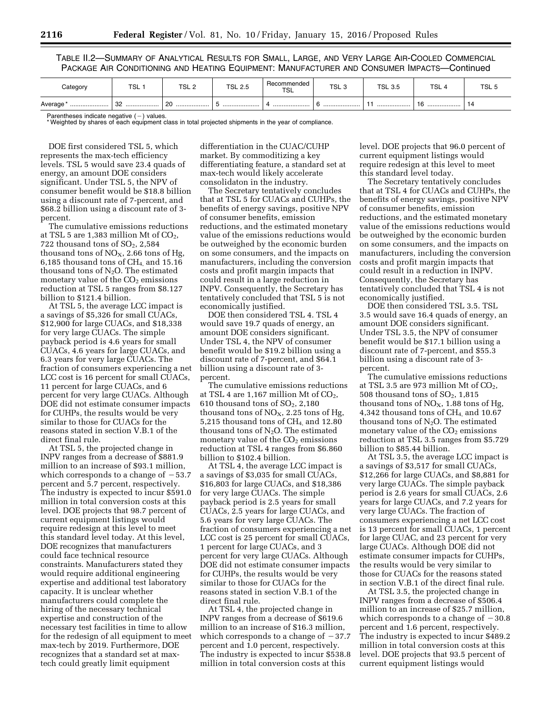TABLE II.2—SUMMARY OF ANALYTICAL RESULTS FOR SMALL, LARGE, AND VERY LARGE AIR-COOLED COMMERCIAL PACKAGE AIR CONDITIONING AND HEATING EQUIPMENT: MANUFACTURER AND CONSUMER IMPACTS—Continued

| Category    | <b>TCI</b><br>⊾ס | <b>TCI</b><br>$\overline{ }$<br>ے ∟ت ا | <b>TSL 2.5</b> | Recommended<br>TSL | TSL <sub>3</sub> | <b>TSL 3.5</b> | <b>TSL</b> | TSL <sub>t</sub> |
|-------------|------------------|----------------------------------------|----------------|--------------------|------------------|----------------|------------|------------------|
| Average<br> | or.<br>ےں<br>    | 20<br>                                 |                |                    |                  |                | 10<br>     | 14               |

Parentheses indicate negative  $(-)$  values. \* Weighted by shares of each equipment class in total projected shipments in the year of compliance.

DOE first considered TSL 5, which represents the max-tech efficiency levels. TSL 5 would save 23.4 quads of energy, an amount DOE considers significant. Under TSL 5, the NPV of consumer benefit would be \$18.8 billion using a discount rate of 7-percent, and \$68.2 billion using a discount rate of 3 percent.

The cumulative emissions reductions at TSL 5 are  $1,383$  million Mt of  $CO<sub>2</sub>$ , 722 thousand tons of  $SO<sub>2</sub>$ , 2,584 thousand tons of  $NO<sub>X</sub>$ , 2.66 tons of Hg, 6,185 thousand tons of  $CH<sub>4</sub>$  and 15.16 thousand tons of  $N_2O$ . The estimated monetary value of the  $CO<sub>2</sub>$  emissions reduction at TSL 5 ranges from \$8.127 billion to \$121.4 billion.

At TSL 5, the average LCC impact is a savings of \$5,326 for small CUACs, \$12,900 for large CUACs, and \$18,338 for very large CUACs. The simple payback period is 4.6 years for small CUACs, 4.6 years for large CUACs, and 6.3 years for very large CUACs. The fraction of consumers experiencing a net LCC cost is 16 percent for small CUACs, 11 percent for large CUACs, and 6 percent for very large CUACs. Although DOE did not estimate consumer impacts for CUHPs, the results would be very similar to those for CUACs for the reasons stated in section V.B.1 of the direct final rule.

At TSL 5, the projected change in INPV ranges from a decrease of \$881.9 million to an increase of \$93.1 million, which corresponds to a change of  $-53.7$ percent and 5.7 percent, respectively. The industry is expected to incur \$591.0 million in total conversion costs at this level. DOE projects that 98.7 percent of current equipment listings would require redesign at this level to meet this standard level today. At this level, DOE recognizes that manufacturers could face technical resource constraints. Manufacturers stated they would require additional engineering expertise and additional test laboratory capacity. It is unclear whether manufacturers could complete the hiring of the necessary technical expertise and construction of the necessary test facilities in time to allow for the redesign of all equipment to meet max-tech by 2019. Furthermore, DOE recognizes that a standard set at maxtech could greatly limit equipment

differentiation in the CUAC/CUHP market. By commoditizing a key differentiating feature, a standard set at max-tech would likely accelerate consolidaton in the industry.

The Secretary tentatively concludes that at TSL 5 for CUACs and CUHPs, the benefits of energy savings, positive NPV of consumer benefits, emission reductions, and the estimated monetary value of the emissions reductions would be outweighed by the economic burden on some consumers, and the impacts on manufacturers, including the conversion costs and profit margin impacts that could result in a large reduction in INPV. Consequently, the Secretary has tentatively concluded that TSL 5 is not economically justified.

DOE then considered TSL 4. TSL 4 would save 19.7 quads of energy, an amount DOE considers significant. Under TSL 4, the NPV of consumer benefit would be \$19.2 billion using a discount rate of 7-percent, and \$64.1 billion using a discount rate of 3 percent.

The cumulative emissions reductions at TSL 4 are  $1,167$  million Mt of  $CO<sub>2</sub>$ , 610 thousand tons of  $SO<sub>2</sub>$ , 2,180 thousand tons of  $NO<sub>X</sub>$ , 2.25 tons of Hg, 5,215 thousand tons of  $CH<sub>4</sub>$  and 12.80 thousand tons of  $N_2O$ . The estimated monetary value of the  $CO<sub>2</sub>$  emissions reduction at TSL 4 ranges from \$6.860 billion to \$102.4 billion.

At TSL 4, the average LCC impact is a savings of \$3,035 for small CUACs, \$16,803 for large CUACs, and \$18,386 for very large CUACs. The simple payback period is 2.5 years for small CUACs, 2.5 years for large CUACs, and 5.6 years for very large CUACs. The fraction of consumers experiencing a net LCC cost is 25 percent for small CUACs, 1 percent for large CUACs, and 3 percent for very large CUACs. Although DOE did not estimate consumer impacts for CUHPs, the results would be very similar to those for CUACs for the reasons stated in section V.B.1 of the direct final rule.

At TSL 4, the projected change in INPV ranges from a decrease of \$619.6 million to an increase of \$16.3 million, which corresponds to a change of  $-37.7$ percent and 1.0 percent, respectively. The industry is expected to incur \$538.8 million in total conversion costs at this

level. DOE projects that 96.0 percent of current equipment listings would require redesign at this level to meet this standard level today.

The Secretary tentatively concludes that at TSL 4 for CUACs and CUHPs, the benefits of energy savings, positive NPV of consumer benefits, emission reductions, and the estimated monetary value of the emissions reductions would be outweighed by the economic burden on some consumers, and the impacts on manufacturers, including the conversion costs and profit margin impacts that could result in a reduction in INPV. Consequently, the Secretary has tentatively concluded that TSL 4 is not economically justified.

DOE then considered TSL 3.5. TSL 3.5 would save 16.4 quads of energy, an amount DOE considers significant. Under TSL 3.5, the NPV of consumer benefit would be \$17.1 billion using a discount rate of 7-percent, and \$55.3 billion using a discount rate of 3 percent.

The cumulative emissions reductions at TSL 3.5 are 973 million Mt of  $CO<sub>2</sub>$ , 508 thousand tons of  $SO<sub>2</sub>$ , 1,815 thousand tons of  $NO<sub>X</sub>$ , 1.88 tons of Hg, 4,342 thousand tons of CH4, and 10.67 thousand tons of  $N<sub>2</sub>O$ . The estimated monetary value of the  $CO<sub>2</sub>$  emissions reduction at TSL 3.5 ranges from \$5.729 billion to \$85.44 billion.

At TSL 3.5, the average LCC impact is a savings of \$3,517 for small CUACs, \$12,266 for large CUACs, and \$8,881 for very large CUACs. The simple payback period is 2.6 years for small CUACs, 2.6 years for large CUACs, and 7.2 years for very large CUACs. The fraction of consumers experiencing a net LCC cost is 13 percent for small CUACs, 1 percent for large CUAC, and 23 percent for very large CUACs. Although DOE did not estimate consumer impacts for CUHPs, the results would be very similar to those for CUACs for the reasons stated in section V.B.1 of the direct final rule.

At TSL 3.5, the projected change in INPV ranges from a decrease of \$506.4 million to an increase of \$25.7 million, which corresponds to a change of  $-30.8$ percent and 1.6 percent, respectively. The industry is expected to incur \$489.2 million in total conversion costs at this level. DOE projects that 93.5 percent of current equipment listings would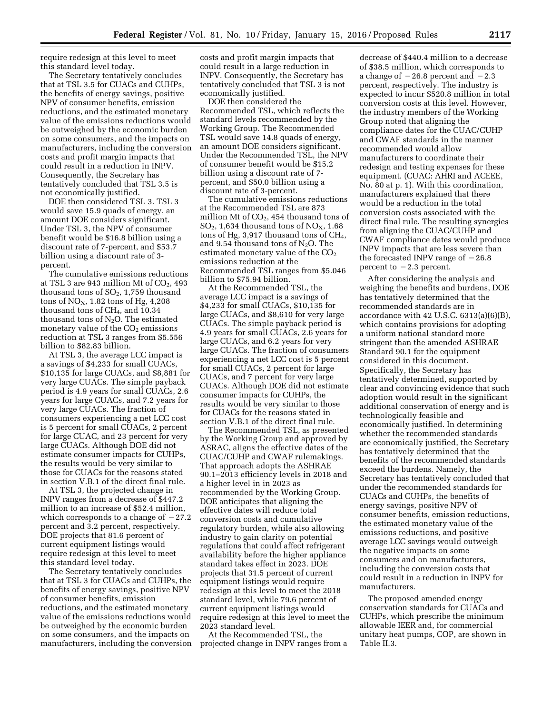require redesign at this level to meet this standard level today.

The Secretary tentatively concludes that at TSL 3.5 for CUACs and CUHPs, the benefits of energy savings, positive NPV of consumer benefits, emission reductions, and the estimated monetary value of the emissions reductions would be outweighed by the economic burden on some consumers, and the impacts on manufacturers, including the conversion costs and profit margin impacts that could result in a reduction in INPV. Consequently, the Secretary has tentatively concluded that TSL 3.5 is not economically justified.

DOE then considered TSL 3. TSL 3 would save 15.9 quads of energy, an amount DOE considers significant. Under TSL 3, the NPV of consumer benefit would be \$16.8 billion using a discount rate of 7-percent, and \$53.7 billion using a discount rate of 3 percent.

The cumulative emissions reductions at TSL 3 are 943 million Mt of  $CO<sub>2</sub>$ , 493 thousand tons of  $SO<sub>2</sub>$ , 1,759 thousand tons of  $NO<sub>X</sub>$ , 1.82 tons of Hg, 4,208 thousand tons of  $CH<sub>4</sub>$ , and 10.34 thousand tons of  $N_2O$ . The estimated monetary value of the  $CO<sub>2</sub>$  emissions reduction at TSL 3 ranges from \$5.556 billion to \$82.83 billion.

At TSL 3, the average LCC impact is a savings of \$4,233 for small CUACs, \$10,135 for large CUACs, and \$8,881 for very large CUACs. The simple payback period is 4.9 years for small CUACs, 2.6 years for large CUACs, and 7.2 years for very large CUACs. The fraction of consumers experiencing a net LCC cost is 5 percent for small CUACs, 2 percent for large CUAC, and 23 percent for very large CUACs. Although DOE did not estimate consumer impacts for CUHPs, the results would be very similar to those for CUACs for the reasons stated in section V.B.1 of the direct final rule.

At TSL 3, the projected change in INPV ranges from a decrease of \$447.2 million to an increase of \$52.4 million, which corresponds to a change of  $-27.2$ percent and 3.2 percent, respectively. DOE projects that 81.6 percent of current equipment listings would require redesign at this level to meet this standard level today.

The Secretary tentatively concludes that at TSL 3 for CUACs and CUHPs, the benefits of energy savings, positive NPV of consumer benefits, emission reductions, and the estimated monetary value of the emissions reductions would be outweighed by the economic burden on some consumers, and the impacts on manufacturers, including the conversion costs and profit margin impacts that could result in a large reduction in INPV. Consequently, the Secretary has tentatively concluded that TSL 3 is not economically justified.

DOE then considered the Recommended TSL, which reflects the standard levels recommended by the Working Group. The Recommended TSL would save 14.8 quads of energy, an amount DOE considers significant. Under the Recommended TSL, the NPV of consumer benefit would be \$15.2 billion using a discount rate of 7 percent, and \$50.0 billion using a discount rate of 3-percent.

The cumulative emissions reductions at the Recommended TSL are 873 million Mt of  $CO<sub>2</sub>$ , 454 thousand tons of  $SO<sub>2</sub>$ , 1,634 thousand tons of NO<sub>x</sub>, 1,68 tons of Hg,  $3,917$  thousand tons of CH<sub>4</sub>, and 9.54 thousand tons of  $N_2O$ . The estimated monetary value of the  $CO<sub>2</sub>$ emissions reduction at the Recommended TSL ranges from \$5.046 billion to \$75.94 billion.

At the Recommended TSL, the average LCC impact is a savings of \$4,233 for small CUACs, \$10,135 for large CUACs, and \$8,610 for very large CUACs. The simple payback period is 4.9 years for small CUACs, 2.6 years for large CUACs, and 6.2 years for very large CUACs. The fraction of consumers experiencing a net LCC cost is 5 percent for small CUACs, 2 percent for large CUACs, and 7 percent for very large CUACs. Although DOE did not estimate consumer impacts for CUHPs, the results would be very similar to those for CUACs for the reasons stated in section V.B.1 of the direct final rule.

The Recommended TSL, as presented by the Working Group and approved by ASRAC, aligns the effective dates of the CUAC/CUHP and CWAF rulemakings. That approach adopts the ASHRAE 90.1–2013 efficiency levels in 2018 and a higher level in in 2023 as recommended by the Working Group. DOE anticipates that aligning the effective dates will reduce total conversion costs and cumulative regulatory burden, while also allowing industry to gain clarity on potential regulations that could affect refrigerant availability before the higher appliance standard takes effect in 2023. DOE projects that 31.5 percent of current equipment listings would require redesign at this level to meet the 2018 standard level, while 79.6 percent of current equipment listings would require redesign at this level to meet the 2023 standard level.

At the Recommended TSL, the projected change in INPV ranges from a

decrease of \$440.4 million to a decrease of \$38.5 million, which corresponds to a change of  $-26.8$  percent and  $-2.3$ percent, respectively. The industry is expected to incur \$520.8 million in total conversion costs at this level. However, the industry members of the Working Group noted that aligning the compliance dates for the CUAC/CUHP and CWAF standards in the manner recommended would allow manufacturers to coordinate their redesign and testing expenses for these equipment. (CUAC: AHRI and ACEEE, No. 80 at p. 1). With this coordination, manufacturers explained that there would be a reduction in the total conversion costs associated with the direct final rule. The resulting synergies from aligning the CUAC/CUHP and CWAF compliance dates would produce INPV impacts that are less severe than the forecasted INPV range of  $-26.8$ percent to  $-2.3$  percent.

After considering the analysis and weighing the benefits and burdens, DOE has tentatively determined that the recommended standards are in accordance with 42 U.S.C. 6313(a)(6)(B), which contains provisions for adopting a uniform national standard more stringent than the amended ASHRAE Standard 90.1 for the equipment considered in this document. Specifically, the Secretary has tentatively determined, supported by clear and convincing evidence that such adoption would result in the significant additional conservation of energy and is technologically feasible and economically justified. In determining whether the recommended standards are economically justified, the Secretary has tentatively determined that the benefits of the recommended standards exceed the burdens. Namely, the Secretary has tentatively concluded that under the recommended standards for CUACs and CUHPs, the benefits of energy savings, positive NPV of consumer benefits, emission reductions, the estimated monetary value of the emissions reductions, and positive average LCC savings would outweigh the negative impacts on some consumers and on manufacturers, including the conversion costs that could result in a reduction in INPV for manufacturers.

The proposed amended energy conservation standards for CUACs and CUHPs, which prescribe the minimum allowable IEER and, for commercial unitary heat pumps, COP, are shown in Table II.3.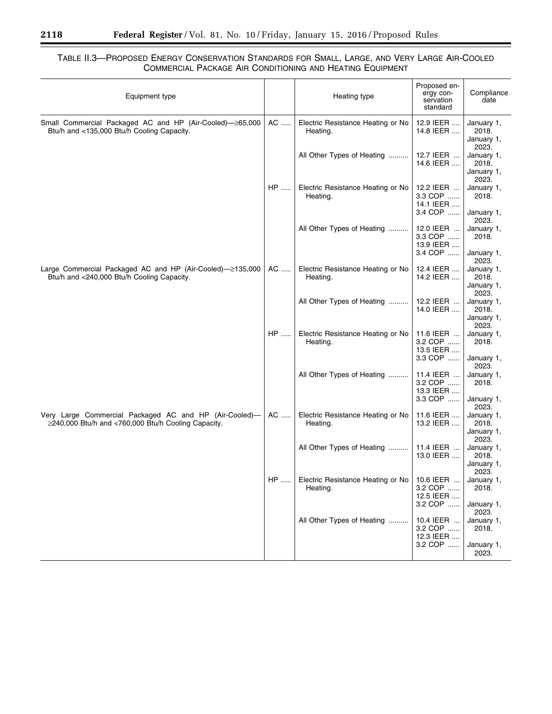Ξ

# TABLE II.3—PROPOSED ENERGY CONSERVATION STANDARDS FOR SMALL, LARGE, AND VERY LARGE AIR-COOLED COMMERCIAL PACKAGE AIR CONDITIONING AND HEATING EQUIPMENT

| Equipment type                                                                                                |    | Heating type                                  | Proposed en-<br>ergy con-<br>servation<br>standard | Compliance<br>date                                       |
|---------------------------------------------------------------------------------------------------------------|----|-----------------------------------------------|----------------------------------------------------|----------------------------------------------------------|
| Small Commercial Packaged AC and HP (Air-Cooled)-265,000<br>Btu/h and <135,000 Btu/h Cooling Capacity.        | AC | Electric Resistance Heating or No<br>Heating. | 12.9 IEER<br>14.8 IEER                             | January 1,<br>2018.<br>January 1,<br>2023.               |
|                                                                                                               |    | All Other Types of Heating                    | 12.7 IEER<br>14.6 IEER                             | January 1,<br>2018.<br>January 1,<br>2023.               |
|                                                                                                               | HP | Electric Resistance Heating or No<br>Heating. | 12.2 IEER<br>3.3 COP<br>14.1 IEER<br>3.4 COP       | January 1,<br>2018.<br>January 1,                        |
|                                                                                                               |    | All Other Types of Heating                    | 12.0 IEER<br>3.3 COP<br>13.9 IEER                  | 2023.<br>January 1,<br>2018.                             |
| Large Commercial Packaged AC and HP (Air-Cooled)–2135,000<br>Btu/h and <240,000 Btu/h Cooling Capacity.       | AC | Electric Resistance Heating or No<br>Heating. | 3.4 COP<br>12.4 IEER<br>14.2 IEER                  | January 1,<br>2023.<br>January 1,<br>2018.<br>January 1, |
|                                                                                                               |    | All Other Types of Heating                    | 12.2 IEER<br>14.0 IEER                             | 2023.<br>January 1,<br>2018.<br>January 1,<br>2023.      |
|                                                                                                               | HP | Electric Resistance Heating or No<br>Heating. | 11.6 IEER<br>3.2 COP<br>13.5 IEER<br>3.3 COP       | January 1,<br>2018.<br>January 1,                        |
|                                                                                                               |    | All Other Types of Heating                    | 11.4 IEER<br>3.2 COP<br>13.3 IEER<br>3.3 COP       | 2023.<br>January 1,<br>2018.<br>January 1,               |
| Very Large Commercial Packaged AC and HP (Air-Cooled)-<br>≥240,000 Btu/h and <760,000 Btu/h Cooling Capacity. | AC | Electric Resistance Heating or No<br>Heating. | 11.6 IEER<br>13.2 IEER                             | 2023.<br>January 1,<br>2018.<br>January 1,<br>2023.      |
|                                                                                                               |    | All Other Types of Heating                    | 11.4 IEER<br>13.0 IEER                             | January 1,<br>2018.<br>January 1,<br>2023.               |
|                                                                                                               | HP | Electric Resistance Heating or No<br>Heating. | 10.6 IEER<br>3.2 COP<br>12.5 IEER<br>3.2 COP       | January 1,<br>2018.<br>January 1,                        |
|                                                                                                               |    | All Other Types of Heating                    | 10.4 IEER<br>3.2 COP<br>12.3 IEER                  | 2023.<br>January 1,<br>2018.                             |
|                                                                                                               |    |                                               | 3.2 COP                                            | January 1,<br>2023.                                      |

Ξ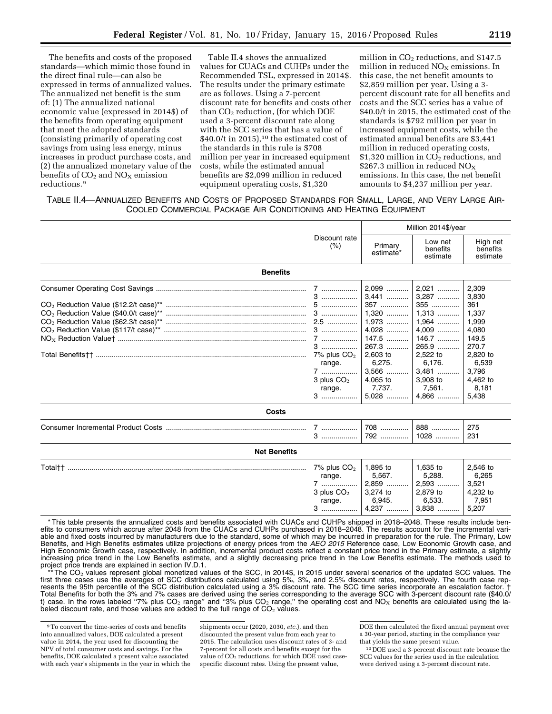The benefits and costs of the proposed standards—which mimic those found in the direct final rule—can also be expressed in terms of annualized values. The annualized net benefit is the sum of: (1) The annualized national economic value (expressed in 2014\$) of the benefits from operating equipment that meet the adopted standards (consisting primarily of operating cost savings from using less energy, minus increases in product purchase costs, and (2) the annualized monetary value of the benefits of  $CO<sub>2</sub>$  and  $NO<sub>X</sub>$  emission reductions.9

Table II.4 shows the annualized values for CUACs and CUHPs under the Recommended TSL, expressed in 2014\$. The results under the primary estimate are as follows. Using a 7-percent discount rate for benefits and costs other than  $CO<sub>2</sub>$  reduction, (for which DOE used a 3-percent discount rate along with the SCC series that has a value of  $$40.0/t$  in 2015),<sup>10</sup> the estimated cost of the standards in this rule is \$708 million per year in increased equipment costs, while the estimated annual benefits are \$2,099 million in reduced equipment operating costs, \$1,320

million in  $CO<sub>2</sub>$  reductions, and \$147.5 million in reduced  $NO<sub>x</sub>$  emissions. In this case, the net benefit amounts to \$2,859 million per year. Using a 3 percent discount rate for all benefits and costs and the SCC series has a value of \$40.0/t in 2015, the estimated cost of the standards is \$792 million per year in increased equipment costs, while the estimated annual benefits are \$3,441 million in reduced operating costs, \$1,320 million in  $CO<sub>2</sub>$  reductions, and \$267.3 million in reduced  $NO<sub>X</sub>$ emissions. In this case, the net benefit amounts to \$4,237 million per year.

# TABLE II.4—ANNUALIZED BENEFITS AND COSTS OF PROPOSED STANDARDS FOR SMALL, LARGE, AND VERY LARGE AIR-COOLED COMMERCIAL PACKAGE AIR CONDITIONING AND HEATING EQUIPMENT

|                     |                                                           |                                                                                                                                                                                    | Million 2014\$/year                                                                                                                  |                                                                                                                                |  |
|---------------------|-----------------------------------------------------------|------------------------------------------------------------------------------------------------------------------------------------------------------------------------------------|--------------------------------------------------------------------------------------------------------------------------------------|--------------------------------------------------------------------------------------------------------------------------------|--|
|                     | Discount rate<br>(% )                                     | Primary<br>estimate*                                                                                                                                                               | Low net<br>benefits<br>estimate                                                                                                      | High net<br>benefits<br>estimate                                                                                               |  |
| <b>Benefits</b>     |                                                           |                                                                                                                                                                                    |                                                                                                                                      |                                                                                                                                |  |
|                     | 7% plus $CO2$<br>range.<br>7   <br>3 plus $CO2$<br>range. | $2,099$<br>$3,441$<br>357<br>1,320<br>1,973   <br>$4,028$<br>147.5<br>267.3<br>$\begin{array}{c} 2,603 \text{ to} \\ 6,275. \end{array}$<br>$3,566$<br>4,065 to<br>7,737.<br>5,028 | 2,021<br>3,287<br>355<br>$1,313$<br>$1,964$<br>4,009<br>146.7<br>265.9<br>2,522 to<br>6,176.<br>3,481<br>3,908 to<br>7,561.<br>4,866 | 2,309<br>3,830<br>361<br>1,337<br>1,999<br>4,080<br>149.5<br>270.7<br>2,820 to<br>6,539<br>3,796<br>4,462 to<br>8,181<br>5,438 |  |
| Costs               |                                                           |                                                                                                                                                                                    |                                                                                                                                      |                                                                                                                                |  |
|                     | $7$                                                       | 708<br>792                                                                                                                                                                         | 888<br>1028                                                                                                                          | 275<br>231                                                                                                                     |  |
| <b>Net Benefits</b> |                                                           |                                                                                                                                                                                    |                                                                                                                                      |                                                                                                                                |  |
|                     | $7\%$ plus $CO2$                                          | 1.895 to                                                                                                                                                                           | 1.635 to                                                                                                                             | 2.546 to                                                                                                                       |  |

| Total <sup>++</sup> | 7% plus $CO2$ | .895 to    | .635 to    | 2.546 to<br>6.265 |
|---------------------|---------------|------------|------------|-------------------|
|                     | range.        | 5.567.     | 5,288.     |                   |
|                     |               | 2.859<br>. | 2.593<br>. | 3,521             |
|                     | 3 plus $CO2$  | 3.274 to   | 2.879 to   | 4.232 to          |
|                     | range.        | 6.945.     | 6,533.     | 7,951             |
|                     |               | דממ<br>    | 3,838<br>  | 5.207             |

\* This table presents the annualized costs and benefits associated with CUACs and CUHPs shipped in 2018–2048. These results include benefits to consumers which accrue after 2048 from the CUACs and CUHPs purchased in 2018–2048. The results account for the incremental variable and fixed costs incurred by manufacturers due to the standard, some of which may be incurred in preparation for the rule. The Primary, Low Benefits, and High Benefits estimates utilize projections of energy prices from the *AEO 2015* Reference case, Low Economic Growth case, and High Economic Growth case, respectively. In addition, incremental product costs reflect a constant price trend in the Primary estimate, a slightly increasing price trend in the Low Benefits estimate, and a slightly decreasing price trend in the Low Benefits estimate. The methods used to project price trends are explained in section IV.D.1.

\*\* The CO<sub>2</sub> values represent global monetized values of the SCC, in 2014\$, in 2015 under several scenarios of the updated SCC values. The fourth case rep-<br>first three cases use the averages of SCC distributions calculate resents the 95th percentile of the SCC distribution calculated using a 3% discount rate. The SCC time series incorporate an escalation factor. † Total Benefits for both the 3% and 7% cases are derived using the series corresponding to the average SCC with 3-percent discount rate (\$40.0/ t) case. In the rows labeled "7% plus CO<sub>2</sub> range" and "3% plus CO<sub>2</sub> range," the operating cost and NO<sub>X</sub> benefits are calculated using the labeled discount rate, and those values are added to the full range of  $CO<sub>2</sub>$  values.

shipments occur (2020, 2030, *etc.*), and then discounted the present value from each year to 2015. The calculation uses discount rates of 3- and 7-percent for all costs and benefits except for the value of  $CO<sub>2</sub>$  reductions, for which DOE used casespecific discount rates. Using the present value,

<sup>9</sup>To convert the time-series of costs and benefits into annualized values, DOE calculated a present value in 2014, the year used for discounting the NPV of total consumer costs and savings. For the benefits, DOE calculated a present value associated with each year's shipments in the year in which the

DOE then calculated the fixed annual payment over a 30-year period, starting in the compliance year that yields the same present value.

<sup>10</sup> DOE used a 3-percent discount rate because the SCC values for the series used in the calculation were derived using a 3-percent discount rate.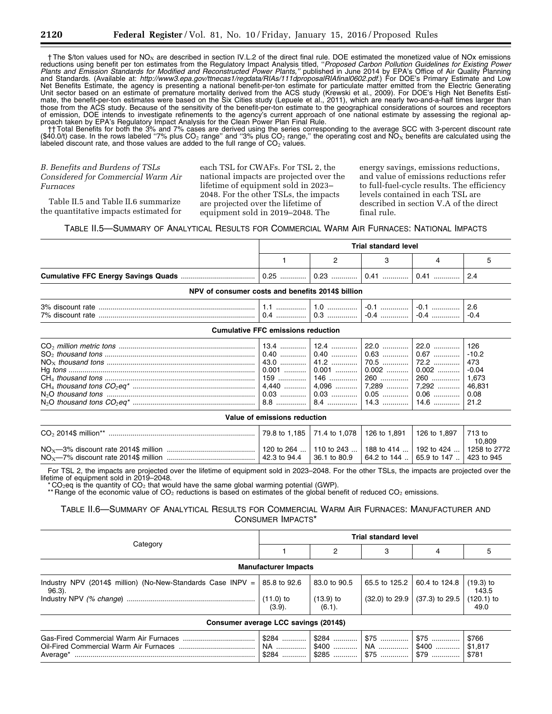$\dagger$  The \$/ton values used for NO<sub>X</sub> are described in section IV.L.2 of the direct final rule. DOE estimated the monetized value of NOx emissions reductions using benefit per ton estimates from the Regulatory Impact Analysis titled, ''*Proposed Carbon Pollution Guidelines for Existing Power*  Plants and Emission Standards for Modified and Reconstructed Power Plants," published in June 2014 by EPA's Office of Air Quality Planning and Standards. (Available at: *[http://www3.epa.gov/ttnecas1/regdata/RIAs/111dproposalRIAfinal0602.pdf.](http://www3.epa.gov/ttnecas1/regdata/RIAs/111dproposalRIAfinal0602.pdf)*) For DOE's Primary Estimate and Low Net Benefits Estimate, the agency is presenting a national benefit-per-ton estimate for particulate matter emitted from the Electric Generating Unit sector based on an estimate of premature mortality derived from the ACS study (Krewski et al., 2009). For DOE's High Net Benefits Estimate, the benefit-per-ton estimates were based on the Six Cities study (Lepuele et al., 2011), which are nearly two-and-a-half times larger than those from the ACS study. Because of the sensitivity of the benefit-per-ton estimate to the geographical considerations of sources and receptors of emission, DOE intends to investigate refinements to the agency's current approach of one national estimate by assessing the regional approach taken by EPA's Regulatory Impact Analysis for the Clean Power Plan Final Rule.

Than all the onefits for both the 3% and 7% cases are derived using the series corresponding to the average SCC with 3-percent discount rate (\$40.0/t) case. In the rows labeled "7% plus CO2 range" and "3% plus CO2 range," labeled discount rate, and those values are added to the full range of  $CO<sub>2</sub>$  values.

# *B. Benefits and Burdens of TSLs Considered for Commercial Warm Air Furnaces*

Table II.5 and Table II.6 summarize the quantitative impacts estimated for each TSL for CWAFs. For TSL 2, the national impacts are projected over the lifetime of equipment sold in 2023– 2048. For the other TSLs, the impacts are projected over the lifetime of equipment sold in 2019–2048. The

energy savings, emissions reductions, and value of emissions reductions refer to full-fuel-cycle results. The efficiency levels contained in each TSL are described in section V.A of the direct final rule.

#### TABLE II.5—SUMMARY OF ANALYTICAL RESULTS FOR COMMERCIAL WARM AIR FURNACES: NATIONAL IMPACTS

| Trial standard level<br>  0.41    0.41    2.4 |  |  |  |  |
|-----------------------------------------------|--|--|--|--|
|                                               |  |  |  |  |
|                                               |  |  |  |  |

| <b>NPV OF CONSUMER COSTS AND DENETIES 20145 DIMON</b> |       |                   |                    |  |  |
|-------------------------------------------------------|-------|-------------------|--------------------|--|--|
| 3% discount rate<br>7% discount<br>rate               | <br>. | .<br><br>v.v<br>. | -1<br>-ט<br>.<br>. |  |  |

**NPV of consumer costs and benefits 2014\$ billion** 

#### **Cumulative FFC emissions reduction**

|--|--|--|--|--|--|

| Value of emissions reduction |                                                                                      |              |                                          |  |        |
|------------------------------|--------------------------------------------------------------------------------------|--------------|------------------------------------------|--|--------|
|                              | 79.8 to 1,185   71.4 to 1,078   126 to 1,891   126 to 1,897   713 to                 |              |                                          |  | 10.809 |
|                              | 120 to 264    110 to 243    188 to 414    192 to 424    1258 to 2772<br>42.3 to 94.4 | 36.1 to 80.9 | 64.2 to 144    65.9 to 147    423 to 945 |  |        |

For TSL 2, the impacts are projected over the lifetime of equipment sold in 2023–2048. For the other TSLs, the impacts are projected over the lifetime of equipment sold in 2019–2048.

 $CO<sub>2</sub>$ eq is the quantity of  $CO<sub>2</sub>$  that would have the same global warming potential (GWP).

\*\* Range of the economic value of CO<sub>2</sub> reductions is based on estimates of the global benefit of reduced CO<sub>2</sub> emissions.

# TABLE II.6—SUMMARY OF ANALYTICAL RESULTS FOR COMMERCIAL WARM AIR FURNACES: MANUFACTURER AND CONSUMER IMPACTS\*

|                                                                                               | <b>Trial standard level</b> |                                          |                       |                  |                           |  |
|-----------------------------------------------------------------------------------------------|-----------------------------|------------------------------------------|-----------------------|------------------|---------------------------|--|
| Category                                                                                      |                             | 2                                        |                       |                  | 5                         |  |
|                                                                                               | <b>Manufacturer Impacts</b> |                                          |                       |                  |                           |  |
| Industry NPV (2014\$ million) (No-New-Standards Case INPV = $\vert$ 85.8 to 92.6<br>$96.3$ ). |                             | 83.0 to 90.5                             | 65.5 to 125.2         | 60.4 to 124.8    | $(19.3)$ to<br>143.5      |  |
|                                                                                               | $(11.0)$ to<br>(3.9).       | $(13.9)$ to<br>$(6.1)$ .                 | $(32.0)$ to 29.9      | $(37.3)$ to 29.5 | $(120.1)$ to<br>49.0      |  |
| Consumer average LCC savings (2014\$)                                                         |                             |                                          |                       |                  |                           |  |
|                                                                                               | \$284<br>NA ……………           | $$400$<br>$$284$   \$285    \$75    \$79 | \$75<br>  NA    \$400 | $$75$            | \$766<br>\$1,817<br>\$781 |  |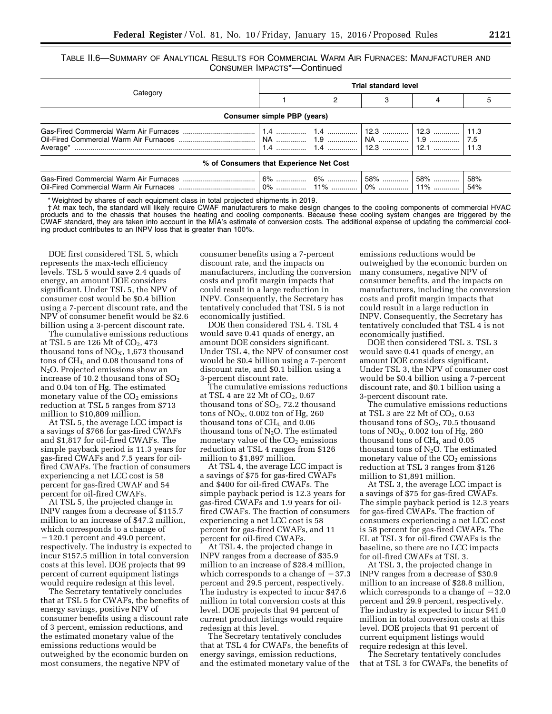TABLE II.6—SUMMARY OF ANALYTICAL RESULTS FOR COMMERCIAL WARM AIR FURNACES: MANUFACTURER AND CONSUMER IMPACTS\*—Continued

|                                         | <b>Trial standard level</b> |                            |  |  |            |  |  |  |  |
|-----------------------------------------|-----------------------------|----------------------------|--|--|------------|--|--|--|--|
| Category                                |                             |                            |  |  |            |  |  |  |  |
| Consumer simple PBP (years)             |                             |                            |  |  |            |  |  |  |  |
|                                         |                             |                            |  |  |            |  |  |  |  |
| % of Consumers that Experience Net Cost |                             |                            |  |  |            |  |  |  |  |
|                                         |                             | $6\%$   $6\%$   58%    58% |  |  | 58%<br>54% |  |  |  |  |

\* Weighted by shares of each equipment class in total projected shipments in 2019.

† At max tech, the standard will likely require CWAF manufacturers to make design changes to the cooling components of commercial HVAC products and to the chassis that houses the heating and cooling components. Because these cooling system changes are triggered by the CWAF standard, they are taken into account in the MIA's estimate of conversion costs. The additional expense of updating the commercial cooling product contributes to an INPV loss that is greater than 100%.

DOE first considered TSL 5, which represents the max-tech efficiency levels. TSL 5 would save 2.4 quads of energy, an amount DOE considers significant. Under TSL 5, the NPV of consumer cost would be \$0.4 billion using a 7-percent discount rate, and the NPV of consumer benefit would be \$2.6 billion using a 3-percent discount rate.

The cumulative emissions reductions at TSL 5 are  $126$  Mt of  $CO<sub>2</sub>$ , 473 thousand tons of  $NO<sub>X</sub>$ , 1,673 thousand tons of CH4, and 0.08 thousand tons of N2O. Projected emissions show an increase of 10.2 thousand tons of  $SO<sub>2</sub>$ and 0.04 ton of Hg. The estimated monetary value of the  $CO<sub>2</sub>$  emissions reduction at TSL 5 ranges from \$713 million to \$10,809 million.

At TSL 5, the average LCC impact is a savings of \$766 for gas-fired CWAFs and \$1,817 for oil-fired CWAFs. The simple payback period is 11.3 years for gas-fired CWAFs and 7.5 years for oilfired CWAFs. The fraction of consumers experiencing a net LCC cost is 58 percent for gas-fired CWAF and 54 percent for oil-fired CWAFs.

At TSL 5, the projected change in INPV ranges from a decrease of \$115.7 million to an increase of \$47.2 million, which corresponds to a change of  $-120.1$  percent and 49.0 percent, respectively. The industry is expected to incur \$157.5 million in total conversion costs at this level. DOE projects that 99 percent of current equipment listings would require redesign at this level.

The Secretary tentatively concludes that at TSL 5 for CWAFs, the benefits of energy savings, positive NPV of consumer benefits using a discount rate of 3 percent, emission reductions, and the estimated monetary value of the emissions reductions would be outweighed by the economic burden on most consumers, the negative NPV of

consumer benefits using a 7-percent discount rate, and the impacts on manufacturers, including the conversion costs and profit margin impacts that could result in a large reduction in INPV. Consequently, the Secretary has tentatively concluded that TSL 5 is not economically justified.

DOE then considered TSL 4. TSL 4 would save 0.41 quads of energy, an amount DOE considers significant. Under TSL 4, the NPV of consumer cost would be \$0.4 billion using a 7-percent discount rate, and \$0.1 billion using a 3-percent discount rate.

The cumulative emissions reductions at TSL 4 are 22 Mt of  $CO<sub>2</sub>$ , 0.67 thousand tons of  $SO<sub>2</sub>$ , 72.2 thousand tons of  $NO<sub>X</sub>$ , 0.002 ton of Hg, 260 thousand tons of CH4, and 0.06 thousand tons of  $N_2O$ . The estimated monetary value of the  $CO<sub>2</sub>$  emissions reduction at TSL 4 ranges from \$126 million to \$1,897 million.

At TSL 4, the average LCC impact is a savings of \$75 for gas-fired CWAFs and \$400 for oil-fired CWAFs. The simple payback period is 12.3 years for gas-fired CWAFs and 1.9 years for oilfired CWAFs. The fraction of consumers experiencing a net LCC cost is 58 percent for gas-fired CWAFs, and 11 percent for oil-fired CWAFs.

At TSL 4, the projected change in INPV ranges from a decrease of \$35.9 million to an increase of \$28.4 million, which corresponds to a change of  $-37.3$ percent and 29.5 percent, respectively. The industry is expected to incur \$47.6 million in total conversion costs at this level. DOE projects that 94 percent of current product listings would require redesign at this level.

The Secretary tentatively concludes that at TSL 4 for CWAFs, the benefits of energy savings, emission reductions, and the estimated monetary value of the

emissions reductions would be outweighed by the economic burden on many consumers, negative NPV of consumer benefits, and the impacts on manufacturers, including the conversion costs and profit margin impacts that could result in a large reduction in INPV. Consequently, the Secretary has tentatively concluded that TSL 4 is not economically justified.

DOE then considered TSL 3. TSL 3 would save 0.41 quads of energy, an amount DOE considers significant. Under TSL 3, the NPV of consumer cost would be \$0.4 billion using a 7-percent discount rate, and \$0.1 billion using a 3-percent discount rate.

The cumulative emissions reductions at TSL 3 are 22 Mt of  $CO<sub>2</sub>$ , 0.63 thousand tons of  $SO<sub>2</sub>$ , 70.5 thousand tons of  $NO<sub>X</sub>$ , 0.002 ton of Hg, 260 thousand tons of  $CH<sub>4</sub>$  and 0.05 thousand tons of  $N_2O$ . The estimated monetary value of the  $CO<sub>2</sub>$  emissions reduction at TSL 3 ranges from \$126 million to \$1,891 million.

At TSL 3, the average LCC impact is a savings of \$75 for gas-fired CWAFs. The simple payback period is 12.3 years for gas-fired CWAFs. The fraction of consumers experiencing a net LCC cost is 58 percent for gas-fired CWAFs. The EL at TSL 3 for oil-fired CWAFs is the baseline, so there are no LCC impacts for oil-fired CWAFs at TSL 3.

At TSL 3, the projected change in INPV ranges from a decrease of \$30.9 million to an increase of \$28.8 million, which corresponds to a change of  $-32.0$ percent and 29.9 percent, respectively. The industry is expected to incur \$41.0 million in total conversion costs at this level. DOE projects that 91 percent of current equipment listings would require redesign at this level.

The Secretary tentatively concludes that at TSL 3 for CWAFs, the benefits of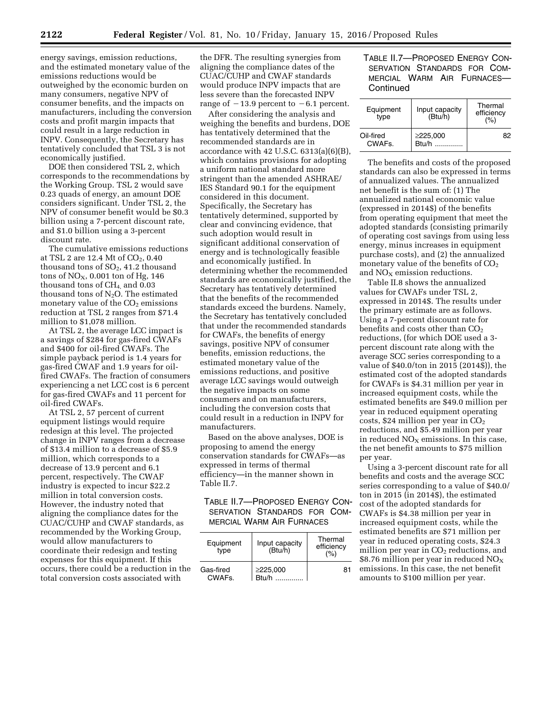energy savings, emission reductions, and the estimated monetary value of the emissions reductions would be outweighed by the economic burden on many consumers, negative NPV of consumer benefits, and the impacts on manufacturers, including the conversion costs and profit margin impacts that could result in a large reduction in INPV. Consequently, the Secretary has tentatively concluded that TSL 3 is not economically justified.

DOE then considered TSL 2, which corresponds to the recommendations by the Working Group. TSL 2 would save 0.23 quads of energy, an amount DOE considers significant. Under TSL 2, the NPV of consumer benefit would be \$0.3 billion using a 7-percent discount rate, and \$1.0 billion using a 3-percent discount rate.

The cumulative emissions reductions at TSL 2 are 12.4 Mt of CO<sub>2</sub>, 0.40 thousand tons of SO2, 41.2 thousand tons of  $NO<sub>X</sub>$ , 0.001 ton of Hg, 146 thousand tons of  $CH<sub>4</sub>$  and 0.03 thousand tons of  $N_2O$ . The estimated monetary value of the  $CO<sub>2</sub>$  emissions reduction at TSL 2 ranges from \$71.4 million to \$1,078 million.

At TSL 2, the average LCC impact is a savings of \$284 for gas-fired CWAFs and \$400 for oil-fired CWAFs. The simple payback period is 1.4 years for gas-fired CWAF and 1.9 years for oilfired CWAFs. The fraction of consumers experiencing a net LCC cost is 6 percent for gas-fired CWAFs and 11 percent for oil-fired CWAFs.

At TSL 2, 57 percent of current equipment listings would require redesign at this level. The projected change in INPV ranges from a decrease of \$13.4 million to a decrease of \$5.9 million, which corresponds to a decrease of 13.9 percent and 6.1 percent, respectively. The CWAF industry is expected to incur \$22.2 million in total conversion costs. However, the industry noted that aligning the compliance dates for the CUAC/CUHP and CWAF standards, as recommended by the Working Group, would allow manufacturers to coordinate their redesign and testing expenses for this equipment. If this occurs, there could be a reduction in the total conversion costs associated with

the DFR. The resulting synergies from aligning the compliance dates of the CUAC/CUHP and CWAF standards would produce INPV impacts that are less severe than the forecasted INPV range of  $-13.9$  percent to  $-6.1$  percent.

After considering the analysis and weighing the benefits and burdens, DOE has tentatively determined that the recommended standards are in accordance with 42 U.S.C. 6313(a)(6)(B), which contains provisions for adopting a uniform national standard more stringent than the amended ASHRAE/ IES Standard 90.1 for the equipment considered in this document. Specifically, the Secretary has tentatively determined, supported by clear and convincing evidence, that such adoption would result in significant additional conservation of energy and is technologically feasible and economically justified. In determining whether the recommended standards are economically justified, the Secretary has tentatively determined that the benefits of the recommended standards exceed the burdens. Namely, the Secretary has tentatively concluded that under the recommended standards for CWAFs, the benefits of energy savings, positive NPV of consumer benefits, emission reductions, the estimated monetary value of the emissions reductions, and positive average LCC savings would outweigh the negative impacts on some consumers and on manufacturers, including the conversion costs that could result in a reduction in INPV for manufacturers.

Based on the above analyses, DOE is proposing to amend the energy conservation standards for CWAFs—as expressed in terms of thermal efficiency—in the manner shown in Table II.7.

## TABLE II.7—PROPOSED ENERGY CON-SERVATION STANDARDS FOR COM-MERCIAL WARM AIR FURNACES

| Equipment<br>type                | Input capacity<br>(Btu/h) | Thermal<br>efficiency<br>(%) |
|----------------------------------|---------------------------|------------------------------|
| Gas-fired<br>CWAF <sub>s</sub> . | ≥225,000<br>Btu/h         | 81                           |

TABLE II.7—PROPOSED ENERGY CON-SERVATION STANDARDS FOR COM-MERCIAL WARM AIR FURNACES— **Continued** 

| Equipment<br>type                | Input capacity<br>(Btu/h) | Thermal<br>efficiency<br>(% ) |
|----------------------------------|---------------------------|-------------------------------|
| Oil-fired<br>CWAF <sub>s</sub> . | $\geq$ 225,000<br>Btu/h   | 82                            |

The benefits and costs of the proposed standards can also be expressed in terms of annualized values. The annualized net benefit is the sum of: (1) The annualized national economic value (expressed in 2014\$) of the benefits from operating equipment that meet the adopted standards (consisting primarily of operating cost savings from using less energy, minus increases in equipment purchase costs), and (2) the annualized monetary value of the benefits of  $CO<sub>2</sub>$ and  $NO<sub>x</sub>$  emission reductions.

Table II.8 shows the annualized values for CWAFs under TSL 2, expressed in 2014\$. The results under the primary estimate are as follows. Using a 7-percent discount rate for benefits and costs other than  $CO<sub>2</sub>$ reductions, (for which DOE used a 3 percent discount rate along with the average SCC series corresponding to a value of \$40.0/ton in 2015 (2014\$)), the estimated cost of the adopted standards for CWAFs is \$4.31 million per year in increased equipment costs, while the estimated benefits are \$49.0 million per year in reduced equipment operating costs, \$24 million per year in  $CO<sub>2</sub>$ reductions, and \$5.49 million per year in reduced  $NO<sub>X</sub>$  emissions. In this case, the net benefit amounts to \$75 million per year.

Using a 3-percent discount rate for all benefits and costs and the average SCC series corresponding to a value of \$40.0/ ton in 2015 (in 2014\$), the estimated cost of the adopted standards for CWAFs is \$4.38 million per year in increased equipment costs, while the estimated benefits are \$71 million per year in reduced operating costs, \$24.3 million per year in  $CO<sub>2</sub>$  reductions, and \$8.76 million per year in reduced  $NO<sub>x</sub>$ emissions. In this case, the net benefit amounts to \$100 million per year.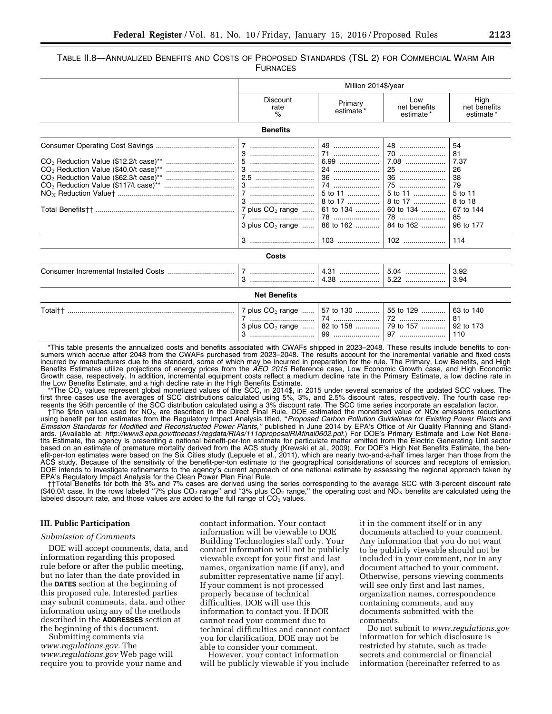TABLE II.8—ANNUALIZED BENEFITS AND COSTS OF PROPOSED STANDARDS (TSL 2) FOR COMMERCIAL WARM AIR **FURNACES** 

|         |                                                           | Million 2014\$/year                                                                                 |                                                                                             |                                                                                                 |  |
|---------|-----------------------------------------------------------|-----------------------------------------------------------------------------------------------------|---------------------------------------------------------------------------------------------|-------------------------------------------------------------------------------------------------|--|
|         | <b>Discount</b><br>rate<br>%                              | Primary<br>estimate*                                                                                | Low<br>net benefits<br>estimate*                                                            | High<br>net benefits<br>estimate*                                                               |  |
|         | <b>Benefits</b>                                           |                                                                                                     |                                                                                             |                                                                                                 |  |
|         | 7<br>2.5<br>7<br>7 plus $CO2$ range<br>3 plus $CO2$ range | 49<br>71<br>$6.99$<br>24<br>36<br>74<br>5 to 11<br>8 to 17<br>61 to 134<br>78<br>86 to 162<br>$103$ | 48<br>70<br>7.08<br>25<br>75<br>5 to 11<br>8 to 17<br>60 to 134<br>78<br>84 to 162<br>$102$ | 54<br>81<br>7.37<br>26<br>38<br>79<br>5 to 11<br>8 to 18<br>67 to 144<br>85<br>96 to 177<br>114 |  |
|         | Costs                                                     |                                                                                                     |                                                                                             |                                                                                                 |  |
|         |                                                           | 4.31<br>4.38                                                                                        | $5.04$<br>5.22                                                                              | 3.92<br>3.94                                                                                    |  |
|         | <b>Net Benefits</b>                                       |                                                                                                     |                                                                                             |                                                                                                 |  |
| Total†† | 7 plus $CO2$ range<br>7<br>3 plus $CO2$ range             | 57 to 130<br>74<br>82 to 158                                                                        | 55 to 129<br>72<br>79 to 157<br>97                                                          | 63 to 140<br>81<br>92 to 173<br>110                                                             |  |

\*This table presents the annualized costs and benefits associated with CWAFs shipped in 2023–2048. These results include benefits to consumers which accrue after 2048 from the CWAFs purchased from 2023–2048. The results account for the incremental variable and fixed costs incurred by manufacturers due to the standard, some of which may be incurred in preparation for the rule. The Primary, Low Benefits, and High Benefits Estimates utilize projections of energy prices from the *AEO 2015* Reference case, Low Economic Growth case, and High Economic Growth case, respectively. In addition, incremental equipment costs reflect a medium decline rate in the Primary Estimate, a low decline rate in the Low Benefits Estimate, and a high decline rate in the High Benefits Estimate.

\*The CO<sub>2</sub> values represent global monetized values of the SCC, in 2014\$, in 2015 under several scenarios of the updated SCC values. The<br>first three cases use the averages of SCC distributions calculated using 5%, 3%, and

resents the 95th percentile of the SCC distribution calculated using a 3% discount rate. The SCC time series incorporate an escalation factor.<br>The \$/ton values used for NO<sub>x</sub> are described in the Direct Final Rule. DOE est *Emission Standards for Modified and Reconstructed Power Plants,"* published in June 2014 by EPA's Office of Air Quality Planning and Standards. (Available at: *[http://www3.epa.gov/ttnecas1/regdata/RIAs/111dproposalRIAfinal0602.pdf.](http://www3.epa.gov/ttnecas1/regdata/RIAs/111dproposalRIAfinal0602.pdf)*) For DOE's Primary Estimate and Low Net Benefits Estimate, the agency is presenting a national benefit-per-ton estimate for particulate matter emitted from the Electric Generating Unit sector based on an estimate of premature mortality derived from the ACS study (Krewski et al., 2009). For DOE's High Net Benefits Estimate, the benefit-per-ton estimates were based on the Six Cities study (Lepuele et al., 2011), which are nearly two-and-a-half times larger than those from the ACS study. Because of the sensitivity of the benefit-per-ton estimate to the geographical considerations of sources and receptors of emission, DOE intends to investigate refinements to the agency's current approach of one national estimate by assessing the regional approach taken by EPA's Regulatory Impact Analysis for the Clean Power Plan Final Rule.<br>††Total Benefits for both the 3% and 7% cases are derived using the series corresponding to the average SCC with 3-percent discount rate

(\$40.0/t case. In the rows labeled "7% plus  $CO<sub>2</sub>$  range" and "3% plus  $CO<sub>2</sub>$  range," the operating cost and  $NO<sub>x</sub>$  benefits are calculated using the labeled discount rate, and those values are added to the full range of  $CO<sub>2</sub>$  values.

#### **III. Public Participation**

#### *Submission of Comments*

DOE will accept comments, data, and information regarding this proposed rule before or after the public meeting, but no later than the date provided in the **DATES** section at the beginning of this proposed rule. Interested parties may submit comments, data, and other information using any of the methods described in the **ADDRESSES** section at the beginning of this document. Submitting comments via

*[www.regulations.gov.](http://www.regulations.gov)* The *[www.regulations.gov](http://www.regulations.gov)* Web page will require you to provide your name and

contact information. Your contact information will be viewable to DOE Building Technologies staff only. Your contact information will not be publicly viewable except for your first and last names, organization name (if any), and submitter representative name (if any). If your comment is not processed properly because of technical difficulties, DOE will use this information to contact you. If DOE cannot read your comment due to technical difficulties and cannot contact you for clarification, DOE may not be

However, your contact information will be publicly viewable if you include

it in the comment itself or in any documents attached to your comment. Any information that you do not want to be publicly viewable should not be included in your comment, nor in any document attached to your comment. Otherwise, persons viewing comments will see only first and last names, organization names, correspondence containing comments, and any documents submitted with the comments.

Do not submit to *[www.regulations.gov](http://www.regulations.gov)*  information for which disclosure is restricted by statute, such as trade secrets and commercial or financial information (hereinafter referred to as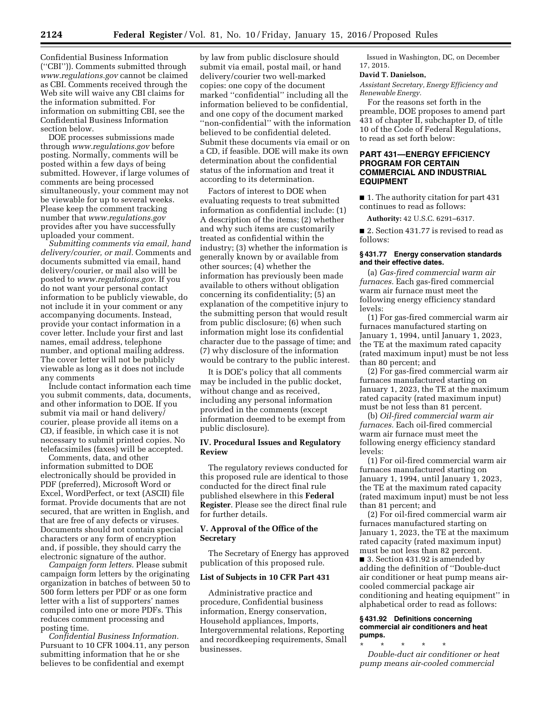Confidential Business Information (''CBI'')). Comments submitted through *[www.regulations.gov](http://www.regulations.gov)* cannot be claimed as CBI. Comments received through the Web site will waive any CBI claims for the information submitted. For information on submitting CBI, see the Confidential Business Information section below.

DOE processes submissions made through *[www.regulations.gov](http://www.regulations.gov)* before posting. Normally, comments will be posted within a few days of being submitted. However, if large volumes of comments are being processed simultaneously, your comment may not be viewable for up to several weeks. Please keep the comment tracking number that *[www.regulations.gov](http://www.regulations.gov)*  provides after you have successfully uploaded your comment.

*Submitting comments via email, hand delivery/courier, or mail.* Comments and documents submitted via email, hand delivery/courier, or mail also will be posted to *[www.regulations.gov.](http://www.regulations.gov)* If you do not want your personal contact information to be publicly viewable, do not include it in your comment or any accompanying documents. Instead, provide your contact information in a cover letter. Include your first and last names, email address, telephone number, and optional mailing address. The cover letter will not be publicly viewable as long as it does not include any comments

Include contact information each time you submit comments, data, documents, and other information to DOE. If you submit via mail or hand delivery/ courier, please provide all items on a CD, if feasible, in which case it is not necessary to submit printed copies. No telefacsimiles (faxes) will be accepted.

Comments, data, and other information submitted to DOE electronically should be provided in PDF (preferred), Microsoft Word or Excel, WordPerfect, or text (ASCII) file format. Provide documents that are not secured, that are written in English, and that are free of any defects or viruses. Documents should not contain special characters or any form of encryption and, if possible, they should carry the electronic signature of the author.

*Campaign form letters.* Please submit campaign form letters by the originating organization in batches of between 50 to 500 form letters per PDF or as one form letter with a list of supporters' names compiled into one or more PDFs. This reduces comment processing and posting time.

*Confidential Business Information.*  Pursuant to 10 CFR 1004.11, any person submitting information that he or she believes to be confidential and exempt

by law from public disclosure should submit via email, postal mail, or hand delivery/courier two well-marked copies: one copy of the document marked ''confidential'' including all the information believed to be confidential, and one copy of the document marked ''non-confidential'' with the information believed to be confidential deleted. Submit these documents via email or on a CD, if feasible. DOE will make its own determination about the confidential status of the information and treat it according to its determination.

Factors of interest to DOE when evaluating requests to treat submitted information as confidential include: (1) A description of the items; (2) whether and why such items are customarily treated as confidential within the industry; (3) whether the information is generally known by or available from other sources; (4) whether the information has previously been made available to others without obligation concerning its confidentiality; (5) an explanation of the competitive injury to the submitting person that would result from public disclosure; (6) when such information might lose its confidential character due to the passage of time; and (7) why disclosure of the information would be contrary to the public interest.

It is DOE's policy that all comments may be included in the public docket, without change and as received, including any personal information provided in the comments (except information deemed to be exempt from public disclosure).

#### **IV. Procedural Issues and Regulatory Review**

The regulatory reviews conducted for this proposed rule are identical to those conducted for the direct final rule published elsewhere in this **Federal Register**. Please see the direct final rule for further details.

## **V. Approval of the Office of the Secretary**

The Secretary of Energy has approved publication of this proposed rule.

#### **List of Subjects in 10 CFR Part 431**

Administrative practice and procedure, Confidential business information, Energy conservation, Household appliances, Imports, Intergovernmental relations, Reporting and recordkeeping requirements, Small businesses.

Issued in Washington, DC, on December 17, 2015.

#### **David T. Danielson,**

*Assistant Secretary, Energy Efficiency and Renewable Energy.* 

For the reasons set forth in the preamble, DOE proposes to amend part 431 of chapter II, subchapter D, of title 10 of the Code of Federal Regulations, to read as set forth below:

#### **PART 431—ENERGY EFFICIENCY PROGRAM FOR CERTAIN COMMERCIAL AND INDUSTRIAL EQUIPMENT**

■ 1. The authority citation for part 431 continues to read as follows:

**Authority:** 42 U.S.C. 6291–6317.

■ 2. Section 431.77 is revised to read as follows:

#### **§ 431.77 Energy conservation standards and their effective dates.**

(a) *Gas-fired commercial warm air furnaces.* Each gas-fired commercial warm air furnace must meet the following energy efficiency standard levels:

(1) For gas-fired commercial warm air furnaces manufactured starting on January 1, 1994, until January 1, 2023, the TE at the maximum rated capacity (rated maximum input) must be not less than 80 percent; and

(2) For gas-fired commercial warm air furnaces manufactured starting on January 1, 2023, the TE at the maximum rated capacity (rated maximum input) must be not less than 81 percent.

(b) *Oil-fired commercial warm air furnaces.* Each oil-fired commercial warm air furnace must meet the following energy efficiency standard levels:

(1) For oil-fired commercial warm air furnaces manufactured starting on January 1, 1994, until January 1, 2023, the TE at the maximum rated capacity (rated maximum input) must be not less than 81 percent; and

(2) For oil-fired commercial warm air furnaces manufactured starting on January 1, 2023, the TE at the maximum rated capacity (rated maximum input) must be not less than 82 percent.

■ 3. Section 431.92 is amended by adding the definition of ''Double-duct air conditioner or heat pump means aircooled commercial package air conditioning and heating equipment'' in alphabetical order to read as follows:

#### **§ 431.92 Definitions concerning commercial air conditioners and heat pumps.**

\* \* \* \* \* *Double-duct air conditioner or heat pump means air-cooled commercial*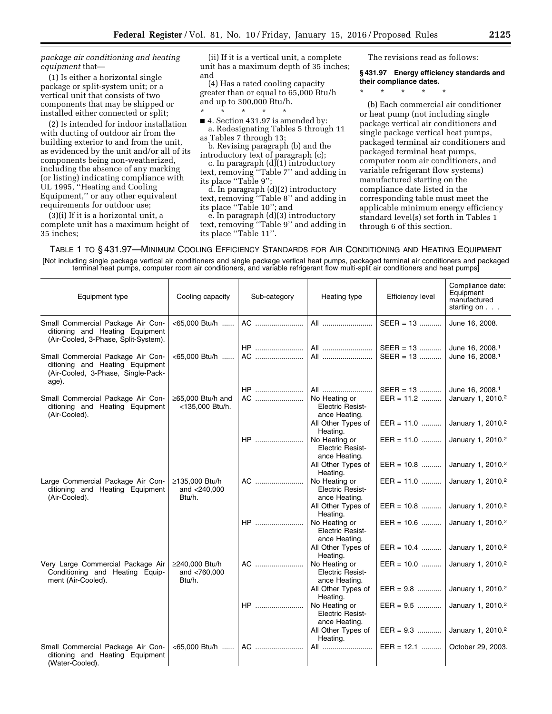## *package air conditioning and heating equipment* that—

(1) Is either a horizontal single package or split-system unit; or a vertical unit that consists of two components that may be shipped or installed either connected or split;

(2) Is intended for indoor installation with ducting of outdoor air from the building exterior to and from the unit, as evidenced by the unit and/or all of its components being non-weatherized, including the absence of any marking (or listing) indicating compliance with UL 1995, ''Heating and Cooling Equipment,'' or any other equivalent requirements for outdoor use;

(3)(i) If it is a horizontal unit, a complete unit has a maximum height of 35 inches;

(ii) If it is a vertical unit, a complete unit has a maximum depth of 35 inches; and

(4) Has a rated cooling capacity greater than or equal to 65,000 Btu/h and up to 300,000 Btu/h.

\* \* \* \* \* ■ 4. Section 431.97 is amended by:

a. Redesignating Tables 5 through 11 as Tables 7 through 13;

b. Revising paragraph (b) and the introductory text of paragraph (c);

c. In paragraph (d)(1) introductory text, removing ''Table 7'' and adding in its place ''Table 9'';

d. In paragraph (d)(2) introductory text, removing ''Table 8'' and adding in its place ''Table 10''; and

e. In paragraph (d)(3) introductory text, removing ''Table 9'' and adding in its place ''Table 11''.

The revisions read as follows:

#### **§ 431.97 Energy efficiency standards and their compliance dates.**

\* \* \* \* \*

(b) Each commercial air conditioner or heat pump (not including single package vertical air conditioners and single package vertical heat pumps, packaged terminal air conditioners and packaged terminal heat pumps, computer room air conditioners, and variable refrigerant flow systems) manufactured starting on the compliance date listed in the corresponding table must meet the applicable minimum energy efficiency standard level(s) set forth in Tables 1 through 6 of this section.

TABLE 1 TO § 431.97—MINIMUM COOLING EFFICIENCY STANDARDS FOR AIR CONDITIONING AND HEATING EQUIPMENT [Not including single package vertical air conditioners and single package vertical heat pumps, packaged terminal air conditioners and packaged terminal heat pumps, computer room air conditioners, and variable refrigerant flow multi-split air conditioners and heat pumps]

| Equipment type                                                                                                      | Cooling capacity                         | Sub-category | Heating type                                                               | <b>Efficiency level</b>                   | Compliance date:<br>Equipment<br>manufactured<br>starting on   |
|---------------------------------------------------------------------------------------------------------------------|------------------------------------------|--------------|----------------------------------------------------------------------------|-------------------------------------------|----------------------------------------------------------------|
| Small Commercial Package Air Con-<br>ditioning and Heating Equipment<br>(Air-Cooled, 3-Phase, Split-System).        |                                          |              | All                                                                        | $SEER = 13$                               | June 16, 2008.                                                 |
| Small Commercial Package Air Con-<br>ditioning and Heating Equipment<br>(Air-Cooled, 3-Phase, Single-Pack-<br>age). |                                          |              |                                                                            | $SEER = 13$<br>$SEER = 13$                | June 16, 2008. <sup>1</sup><br>June 16, 2008. <sup>1</sup>     |
| Small Commercial Package Air Con-<br>ditioning and Heating Equipment<br>(Air-Cooled).                               | ≥65,000 Btu/h and<br><135,000 Btu/h.     | $HP$<br>AC   | All<br>No Heating or<br><b>Electric Resist-</b><br>ance Heating.           | $SEER = 13$<br>$EER = 11.2$               | June 16, 2008. <sup>1</sup><br>January 1, 2010. <sup>2</sup>   |
|                                                                                                                     |                                          | <b>HP</b>    | All Other Types of<br>Heating.<br>No Heating or<br><b>Electric Resist-</b> | $EER = 11.0$<br>$EER = 11.0$              | January 1, 2010. <sup>2</sup><br>January 1, 2010. <sup>2</sup> |
| Large Commercial Package Air Con-                                                                                   | ≥135,000 Btu/h                           | AC           | ance Heating.<br>All Other Types of<br>Heating.<br>No Heating or           | $EER = 10.8$<br>EER = 11.0                | January 1, 2010. <sup>2</sup><br>January 1, 2010. <sup>2</sup> |
| ditioning and Heating Equipment<br>(Air-Cooled).                                                                    | and <240,000<br>Btu/h.                   |              | <b>Electric Resist-</b><br>ance Heating.<br>All Other Types of             | $EER = 10.8$                              | January 1, 2010. <sup>2</sup>                                  |
|                                                                                                                     |                                          | HP           | Heating.<br>No Heating or<br><b>Electric Resist-</b><br>ance Heating.      | $EER = 10.6$                              | January 1, 2010. <sup>2</sup>                                  |
|                                                                                                                     |                                          |              | All Other Types of<br>Heating.                                             | EER = 10.4  January 1, 2010. <sup>2</sup> |                                                                |
| Very Large Commercial Package Air<br>Conditioning and Heating Equip-<br>ment (Air-Cooled).                          | ≥240,000 Btu/h<br>and <760,000<br>Btu/h. | AC           | No Heating or<br><b>Electric Resist-</b><br>ance Heating.                  | $EER = 10.0$                              | January 1, 2010. <sup>2</sup>                                  |
|                                                                                                                     |                                          |              | All Other Types of<br>Heating.                                             | EER = 9.8  January 1, 2010. <sup>2</sup>  |                                                                |
|                                                                                                                     |                                          | HP           | No Heating or<br><b>Electric Resist-</b><br>ance Heating.                  | $EER = 9.5$                               | January 1, 2010. <sup>2</sup>                                  |
|                                                                                                                     |                                          |              | All Other Types of<br>Heating.                                             | EER = $9.3$ January 1, 2010. <sup>2</sup> |                                                                |
| Small Commercial Package Air Con-<br>ditioning and Heating Equipment<br>(Water-Cooled).                             |                                          |              | All                                                                        | EER = 12.1                                | October 29, 2003.                                              |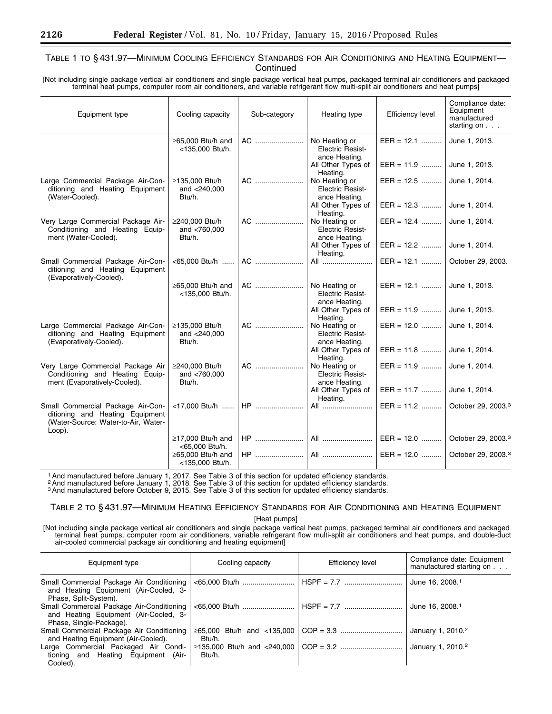# TABLE 1 TO § 431.97—MINIMUM COOLING EFFICIENCY STANDARDS FOR AIR CONDITIONING AND HEATING EQUIPMENT— **Continued**

[Not including single package vertical air conditioners and single package vertical heat pumps, packaged terminal air conditioners and packaged terminal heat pumps, computer room air conditioners, and variable refrigerant flow multi-split air conditioners and heat pumps]

| Equipment type                                                                                                           | Cooling capacity                            | Sub-category | Heating type                                              | <b>Efficiency level</b>         | Compliance date:<br>Equipment<br>manufactured<br>starting on |
|--------------------------------------------------------------------------------------------------------------------------|---------------------------------------------|--------------|-----------------------------------------------------------|---------------------------------|--------------------------------------------------------------|
|                                                                                                                          | $\geq$ 65,000 Btu/h and<br><135,000 Btu/h.  | AC           | No Heating or<br><b>Electric Resist-</b><br>ance Heating. | $EER = 12.1$                    | June 1, 2013.                                                |
|                                                                                                                          |                                             |              | All Other Types of<br>Heating.                            | $EER = 11.9$                    | June 1, 2013.                                                |
| Large Commercial Package Air-Con-<br>ditioning and Heating Equipment<br>(Water-Cooled).                                  | ≥135,000 Btu/h<br>and $<$ 240,000<br>Btu/h. | AC           | No Heating or<br><b>Electric Resist-</b><br>ance Heating. | EER = $12.5$ June 1, 2014.      |                                                              |
|                                                                                                                          |                                             |              | All Other Types of<br>Heating.                            | EER = $12.3$ June 1, 2014.      |                                                              |
| Very Large Commercial Package Air-<br>Conditioning and Heating Equip-<br>ment (Water-Cooled).                            | ≥240,000 Btu/h<br>and $< 760,000$<br>Btu/h. | AC           | No Heating or<br><b>Electric Resist-</b><br>ance Heating. | EER = 12.4  June 1, 2014.       |                                                              |
|                                                                                                                          |                                             |              | All Other Types of<br>Heating.                            | EER = 12.2  June 1, 2014.       |                                                              |
| Small Commercial Package Air-Con-<br>ditioning and Heating Equipment<br>(Evaporatively-Cooled).                          | <65,000 Btu/h                               | AC           | All                                                       | EER = 12.1    October 29, 2003. |                                                              |
|                                                                                                                          | ≥65,000 Btu/h and<br><135,000 Btu/h.        |              | No Heating or<br><b>Electric Resist-</b><br>ance Heating. | EER = 12.1  June 1, 2013.       |                                                              |
|                                                                                                                          |                                             |              | All Other Types of<br>Heating.                            | EER = 11.9  June 1, 2013.       |                                                              |
| Large Commercial Package Air-Con-<br>ditioning and Heating Equipment<br>(Evaporatively-Cooled).                          | ≥135,000 Btu/h<br>and $<$ 240,000<br>Btu/h. | AC           | No Heating or<br><b>Electric Resist-</b><br>ance Heating. | EER = 12.0  June 1, 2014.       |                                                              |
|                                                                                                                          |                                             |              | All Other Types of<br>Heating.                            | EER = 11.8  June 1, 2014.       |                                                              |
| Very Large Commercial Package Air<br>Conditioning and Heating Equip-<br>ment (Evaporatively-Cooled).                     | ≥240,000 Btu/h<br>and $< 760,000$<br>Btu/h. | AC           | No Heating or<br><b>Electric Resist-</b><br>ance Heating. | EER = 11.9  June 1, 2014.       |                                                              |
|                                                                                                                          |                                             |              | All Other Types of<br>Heating.                            | EER = 11.7  June 1. 2014.       |                                                              |
| Small Commercial Package Air-Con-<br>ditioning and Heating Equipment<br>(Water-Source: Water-to-Air, Water-<br>$Loop$ ). | <17,000 Btu/h                               | <b>HP</b>    | All                                                       | $EER = 11.2$                    | October 29, 2003.3                                           |
|                                                                                                                          | $\geq$ 17,000 Btu/h and<br><65,000 Btu/h.   |              |                                                           | EER = 12.0                      | October 29, 2003. <sup>3</sup>                               |
|                                                                                                                          | $\geq$ 65,000 Btu/h and<br><135,000 Btu/h.  |              |                                                           |                                 |                                                              |

<sup>1</sup> And manufactured before January 1, 2017. See Table 3 of this section for updated efficiency standards.<br><sup>2</sup> And manufactured before January 1, 2018. See Table 3 of this section for updated efficiency standards.<br><sup>3</sup> And

# TABLE 2 TO § 431.97—MINIMUM HEATING EFFICIENCY STANDARDS FOR AIR CONDITIONING AND HEATING EQUIPMENT

[Heat pumps]

[Not including single package vertical air conditioners and single package vertical heat pumps, packaged terminal air conditioners and packaged terminal heat pumps, computer room air conditioners, variable refrigerant flow multi-split air conditioners and heat pumps, and double-duct air-cooled commercial package air conditioning and heating equipment]

| Equipment type                                                                                                | Cooling capacity | <b>Efficiency level</b> | Compliance date: Equipment<br>manufactured starting on |
|---------------------------------------------------------------------------------------------------------------|------------------|-------------------------|--------------------------------------------------------|
| Small Commercial Package Air Conditioning<br>and Heating Equipment (Air-Cooled, 3-<br>Phase, Split-System).   |                  |                         | June 16, 2008. <sup>1</sup>                            |
| Small Commercial Package Air-Conditioning<br>and Heating Equipment (Air-Cooled, 3-<br>Phase, Single-Package). |                  |                         | June 16, 2008. <sup>1</sup>                            |
| Small Commercial Package Air Conditioning<br>and Heating Equipment (Air-Cooled).                              | Btu/h.           |                         | January 1, 2010. <sup>2</sup>                          |
| Large Commercial Packaged Air Condi-<br>tioning and Heating Equipment (Air-<br>Cooled).                       | Btu/h.           |                         | January 1, 2010. <sup>2</sup>                          |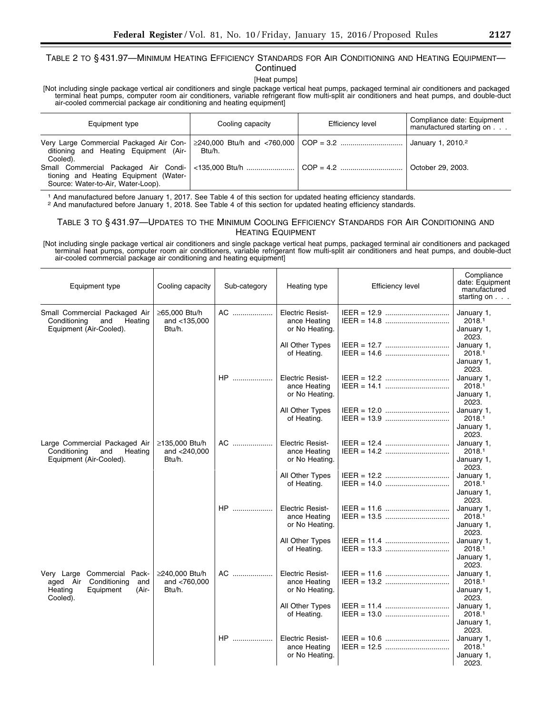# TABLE 2 TO § 431.97—MINIMUM HEATING EFFICIENCY STANDARDS FOR AIR CONDITIONING AND HEATING EQUIPMENT— **Continued**

[Heat pumps]

[Not including single package vertical air conditioners and single package vertical heat pumps, packaged terminal air conditioners and packaged terminal heat pumps, computer room air conditioners, variable refrigerant flow multi-split air conditioners and heat pumps, and double-duct air-cooled commercial package air conditioning and heating equipment]

| Equipment type                                                                               | Cooling capacity | Efficiency level | Compliance date: Equipment<br>manufactured starting on |
|----------------------------------------------------------------------------------------------|------------------|------------------|--------------------------------------------------------|
| Very Large Commercial Packaged Air Con-<br>ditioning and Heating Equipment (Air-<br>Cooled). | Btu/h.           |                  | January 1, 2010. <sup>2</sup>                          |
| tioning and Heating Equipment (Water-<br>Source: Water-to-Air, Water-Loop).                  |                  |                  | October 29, 2003.                                      |

<sup>1</sup> And manufactured before January 1, 2017. See Table 4 of this section for updated heating efficiency standards.<br><sup>2</sup> And manufactured before January 1, 2018. See Table 4 of this section for updated heating efficiency sta

# TABLE 3 TO § 431.97—UPDATES TO THE MINIMUM COOLING EFFICIENCY STANDARDS FOR AIR CONDITIONING AND HEATING EQUIPMENT

[Not including single package vertical air conditioners and single package vertical heat pumps, packaged terminal air conditioners and packaged terminal heat pumps, computer room air conditioners, variable refrigerant flow multi-split air conditioners and heat pumps, and double-duct air-cooled commercial package air conditioning and heating equipment]

| Equipment type                                                                                              | Cooling capacity                            | Sub-category | Heating type                                              | <b>Efficiency level</b> | Compliance<br>date: Equipment<br>manufactured<br>starting on $\ldots$ |
|-------------------------------------------------------------------------------------------------------------|---------------------------------------------|--------------|-----------------------------------------------------------|-------------------------|-----------------------------------------------------------------------|
| Small Commercial Packaged Air<br>Conditioning<br>and<br>Heating<br>Equipment (Air-Cooled).                  | ≥65,000 Btu/h<br>and $<$ 135,000<br>Btu/h.  | AC           | <b>Electric Resist-</b><br>ance Heating<br>or No Heating. |                         | January 1,<br>2018.1<br>January 1,<br>2023.                           |
|                                                                                                             |                                             |              | All Other Types<br>of Heating.                            |                         | January 1,<br>2018.1<br>January 1,<br>2023.                           |
|                                                                                                             |                                             | HP           | <b>Electric Resist-</b><br>ance Heating<br>or No Heating. |                         | January 1,<br>2018.1<br>January 1,<br>2023.                           |
|                                                                                                             |                                             |              | All Other Types<br>of Heating.                            |                         | January 1,<br>2018.1<br>January 1,<br>2023.                           |
| Large Commercial Packaged Air<br>Conditioning<br>and<br>Heating<br>Equipment (Air-Cooled).                  | ≥135,000 Btu/h<br>and $<$ 240,000<br>Btu/h. | AC           | <b>Electric Resist-</b><br>ance Heating<br>or No Heating. |                         | January 1,<br>2018.1<br>January 1,<br>2023.                           |
|                                                                                                             |                                             |              | All Other Types<br>of Heating.                            |                         | January 1,<br>2018.1<br>January 1,<br>2023.                           |
|                                                                                                             |                                             | HP           | <b>Electric Resist-</b><br>ance Heating<br>or No Heating. |                         | January 1,<br>2018.1<br>January 1,<br>2023.                           |
|                                                                                                             |                                             |              | All Other Types<br>of Heating.                            |                         | January 1,<br>2018.1<br>January 1,<br>2023.                           |
| Very Large Commercial Pack-<br>Conditioning<br>aged Air<br>and<br>Heating<br>Equipment<br>(Air-<br>Cooled). | ≥240,000 Btu/h<br>and <760,000<br>Btu/h.    | AC           | <b>Electric Resist-</b><br>ance Heating<br>or No Heating. |                         | January 1,<br>2018.1<br>January 1,<br>2023.                           |
|                                                                                                             |                                             |              | All Other Types<br>of Heating.                            |                         | January 1,<br>2018.1<br>January 1,<br>2023.                           |
|                                                                                                             |                                             | HP           | <b>Electric Resist-</b><br>ance Heating<br>or No Heating. |                         | January 1,<br>2018.1<br>January 1,<br>2023.                           |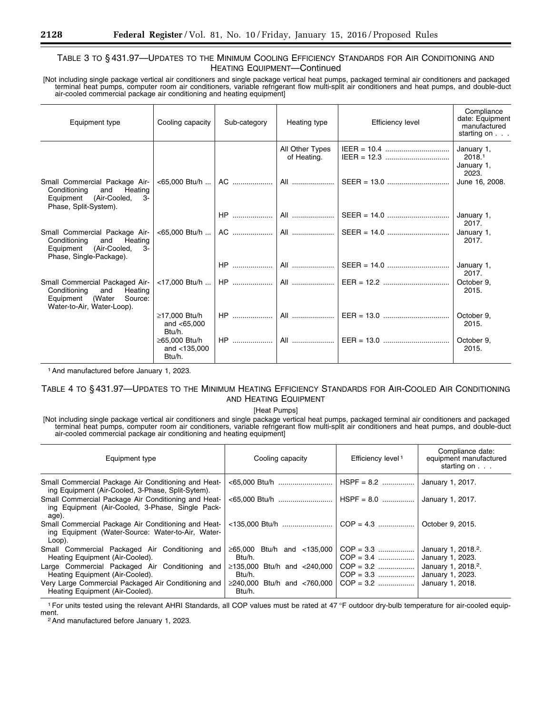# TABLE 3 TO § 431.97—UPDATES TO THE MINIMUM COOLING EFFICIENCY STANDARDS FOR AIR CONDITIONING AND HEATING EQUIPMENT—Continued

[Not including single package vertical air conditioners and single package vertical heat pumps, packaged terminal air conditioners and packaged terminal heat pumps, computer room air conditioners, variable refrigerant flow multi-split air conditioners and heat pumps, and double-duct air-cooled commercial package air conditioning and heating equipment]

| Equipment type                                                                                                                | Cooling capacity                           | Sub-category        | Heating type                   | <b>Efficiency level</b>                                                                                                                                                                                                                                                                                                                  | Compliance<br>date: Equipment<br>manufactured<br>starting on $\ldots$ |
|-------------------------------------------------------------------------------------------------------------------------------|--------------------------------------------|---------------------|--------------------------------|------------------------------------------------------------------------------------------------------------------------------------------------------------------------------------------------------------------------------------------------------------------------------------------------------------------------------------------|-----------------------------------------------------------------------|
|                                                                                                                               |                                            |                     | All Other Types<br>of Heating. |                                                                                                                                                                                                                                                                                                                                          | January 1,<br>2018.1<br>January 1,<br>2023.                           |
| Small Commercial Package Air-<br>Conditioning<br>Heating<br>and<br>Equipment (Air-Cooled,<br>-3-<br>Phase, Split-System).     |                                            | <65,000 Btu/h    AC |                                |                                                                                                                                                                                                                                                                                                                                          | June 16, 2008.                                                        |
|                                                                                                                               |                                            | $HP$                |                                |                                                                                                                                                                                                                                                                                                                                          | January 1,<br>2017.                                                   |
| Small Commercial Package Air-<br>Conditioning<br>and<br>Heating<br>Equipment (Air-Cooled,<br>$3-$<br>Phase, Single-Package).  |                                            |                     |                                |                                                                                                                                                                                                                                                                                                                                          | January 1,<br>2017.                                                   |
|                                                                                                                               |                                            | $HP$                |                                |                                                                                                                                                                                                                                                                                                                                          | January 1,<br>2017.                                                   |
| Small Commercial Packaged Air-<br>Heating<br>Conditioning<br>and<br>Equipment (Water<br>Source:<br>Water-to-Air, Water-Loop). |                                            |                     |                                |                                                                                                                                                                                                                                                                                                                                          | October 9.<br>2015.                                                   |
|                                                                                                                               | ≥17,000 Btu/h<br>and $< 65.000$<br>Btu/h.  | $HP$                |                                | All $\ldots$ $\mathsf{EER} = 13.0$ $\ldots$ $\ldots$ $\ldots$ $\ldots$ $\ldots$ $\ldots$ $\ldots$ $\ldots$ $\ldots$ $\ldots$ $\ldots$ $\ldots$ $\ldots$ $\ldots$ $\ldots$ $\ldots$ $\ldots$ $\ldots$ $\ldots$ $\ldots$ $\ldots$ $\ldots$ $\ldots$ $\ldots$ $\ldots$ $\ldots$ $\ldots$ $\ldots$ $\ldots$ $\ldots$ $\ldots$ $\ldots$ $\ld$ | October 9.<br>2015.                                                   |
|                                                                                                                               | ≥65.000 Btu/h<br>and $<$ 135,000<br>Btu/h. | $HP$                |                                |                                                                                                                                                                                                                                                                                                                                          | October 9,<br>2015.                                                   |

1And manufactured before January 1, 2023.

# TABLE 4 TO § 431.97—UPDATES TO THE MINIMUM HEATING EFFICIENCY STANDARDS FOR AIR-COOLED AIR CONDITIONING AND HEATING EQUIPMENT

[Heat Pumps]

[Not including single package vertical air conditioners and single package vertical heat pumps, packaged terminal air conditioners and packaged terminal heat pumps, computer room air conditioners, variable refrigerant flow multi-split air conditioners and heat pumps, and double-duct air-cooled commercial package air conditioning and heating equipment]

| Equipment type                                                                                                     | Cooling capacity                            | Efficiency level <sup>1</sup> | Compliance date:<br>equipment manufactured<br>starting on $\ldots$ |
|--------------------------------------------------------------------------------------------------------------------|---------------------------------------------|-------------------------------|--------------------------------------------------------------------|
| Small Commercial Package Air Conditioning and Heat-<br>ing Equipment (Air-Cooled, 3-Phase, Split-Sytem).           |                                             | $HSPF = 8.2$                  | January 1, 2017.                                                   |
| Small Commercial Package Air Conditioning and Heat-<br>ing Equipment (Air-Cooled, 3-Phase, Single Pack-<br>age).   |                                             | $HSPF = 8.0$                  | January 1, 2017.                                                   |
| Small Commercial Package Air Conditioning and Heat-<br>ing Equipment (Water-Source: Water-to-Air, Water-<br>Loop). |                                             |                               | October 9, 2015.                                                   |
| Small Commercial Packaged Air Conditioning and<br>Heating Equipment (Air-Cooled).                                  | $\geq 65,000$ Btu/h and <135,000<br>Btu/h.  | $COP = 3.3$<br>$COP = 3.4$    | January 1, 2018. <sup>2</sup> .<br>January 1, 2023.                |
| Large Commercial Packaged Air Conditioning and<br>Heating Equipment (Air-Cooled).                                  | $\geq$ 135,000 Btu/h and <240,000<br>Btu/h. |                               | January 1, 2018. <sup>2</sup> .<br>January 1, 2023.                |
| Very Large Commercial Packaged Air Conditioning and<br>Heating Equipment (Air-Cooled).                             | $\geq$ 240,000 Btu/h and <760,000<br>Btu/h. | $COP = 3.2$                   | January 1, 2018.                                                   |

<sup>1</sup> For units tested using the relevant AHRI Standards, all COP values must be rated at 47 °F outdoor dry-bulb temperature for air-cooled equip-<br>ment

<sup>2</sup> And manufactured before January 1, 2023.